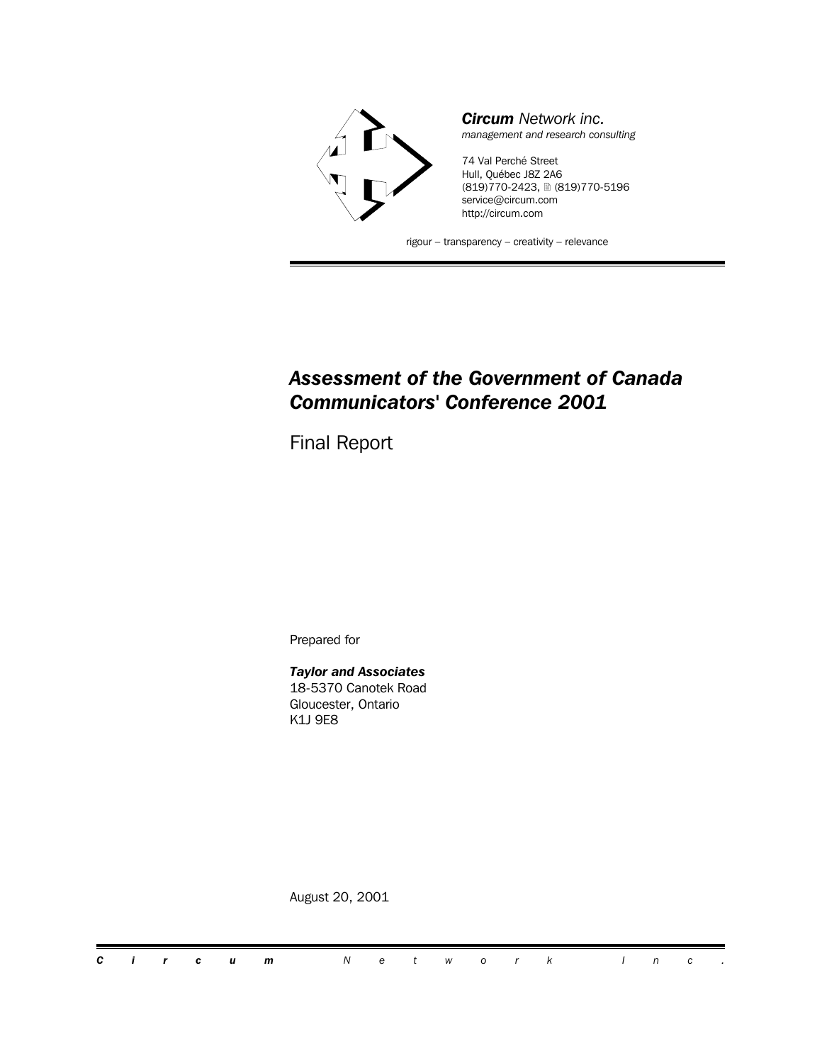

## *Assessment of the Government of Canada Communicators' Conference 2001*

Final Report

Prepared for

*Taylor and Associates* 18-5370 Canotek Road Gloucester, Ontario K1J 9E8

August 20, 2001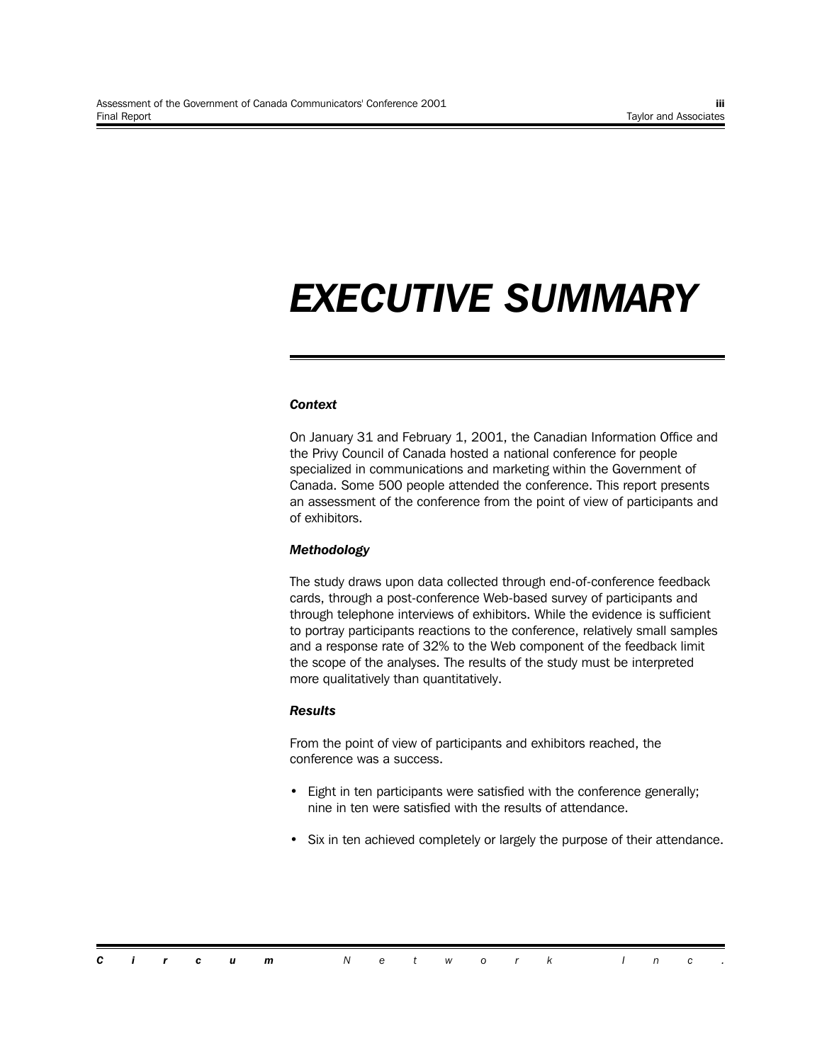## *EXECUTIVE SUMMARY*

#### *Context*

On January 31 and February 1, 2001, the Canadian Information Office and the Privy Council of Canada hosted a national conference for people specialized in communications and marketing within the Government of Canada. Some 500 people attended the conference. This report presents an assessment of the conference from the point of view of participants and of exhibitors.

#### *Methodology*

The study draws upon data collected through end-of-conference feedback cards, through a post-conference Web-based survey of participants and through telephone interviews of exhibitors. While the evidence is sufficient to portray participants reactions to the conference, relatively small samples and a response rate of 32% to the Web component of the feedback limit the scope of the analyses. The results of the study must be interpreted more qualitatively than quantitatively.

#### *Results*

From the point of view of participants and exhibitors reached, the conference was a success.

- Eight in ten participants were satisfied with the conference generally; nine in ten were satisfied with the results of attendance.
- Six in ten achieved completely or largely the purpose of their attendance.

|  |  | <b>Circum</b> Network Inc. |  |  |  |  |  |  |
|--|--|----------------------------|--|--|--|--|--|--|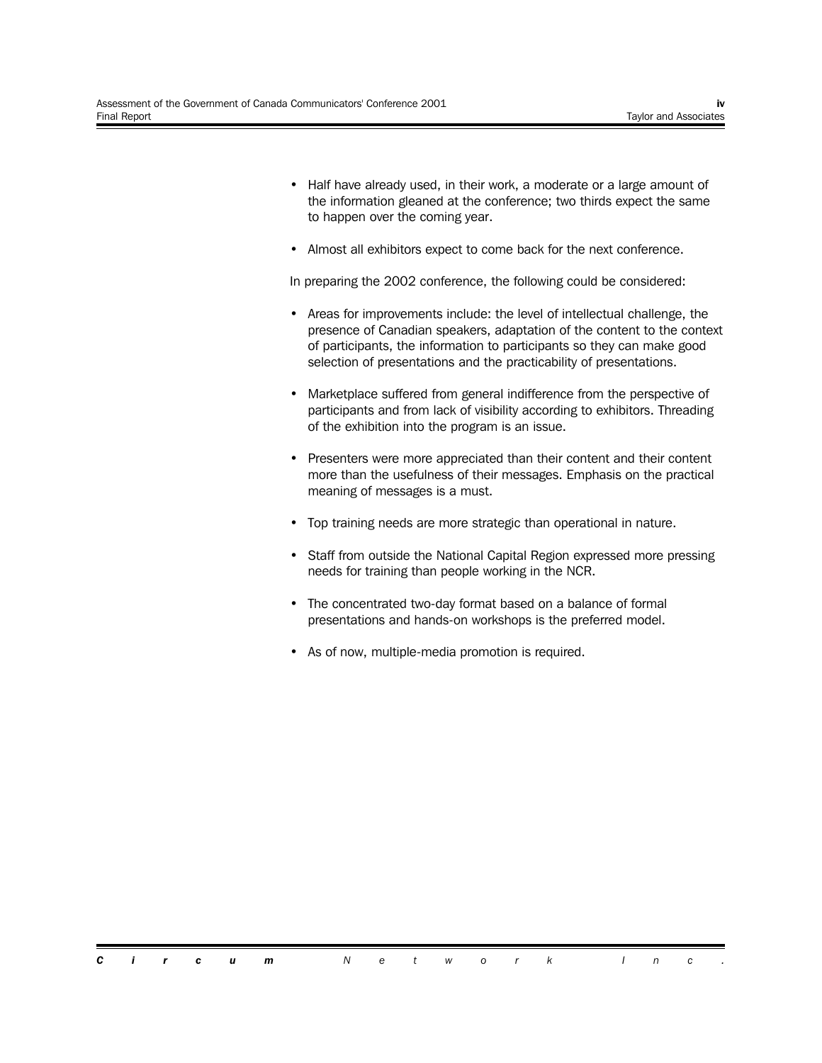- Half have already used, in their work, a moderate or a large amount of the information gleaned at the conference; two thirds expect the same to happen over the coming year.
- Almost all exhibitors expect to come back for the next conference.

In preparing the 2002 conference, the following could be considered:

- Areas for improvements include: the level of intellectual challenge, the presence of Canadian speakers, adaptation of the content to the context of participants, the information to participants so they can make good selection of presentations and the practicability of presentations.
- Marketplace suffered from general indifference from the perspective of participants and from lack of visibility according to exhibitors. Threading of the exhibition into the program is an issue.
- Presenters were more appreciated than their content and their content more than the usefulness of their messages. Emphasis on the practical meaning of messages is a must.
- Top training needs are more strategic than operational in nature.
- Staff from outside the National Capital Region expressed more pressing needs for training than people working in the NCR.
- The concentrated two-day format based on a balance of formal presentations and hands-on workshops is the preferred model.
- As of now, multiple-media promotion is required.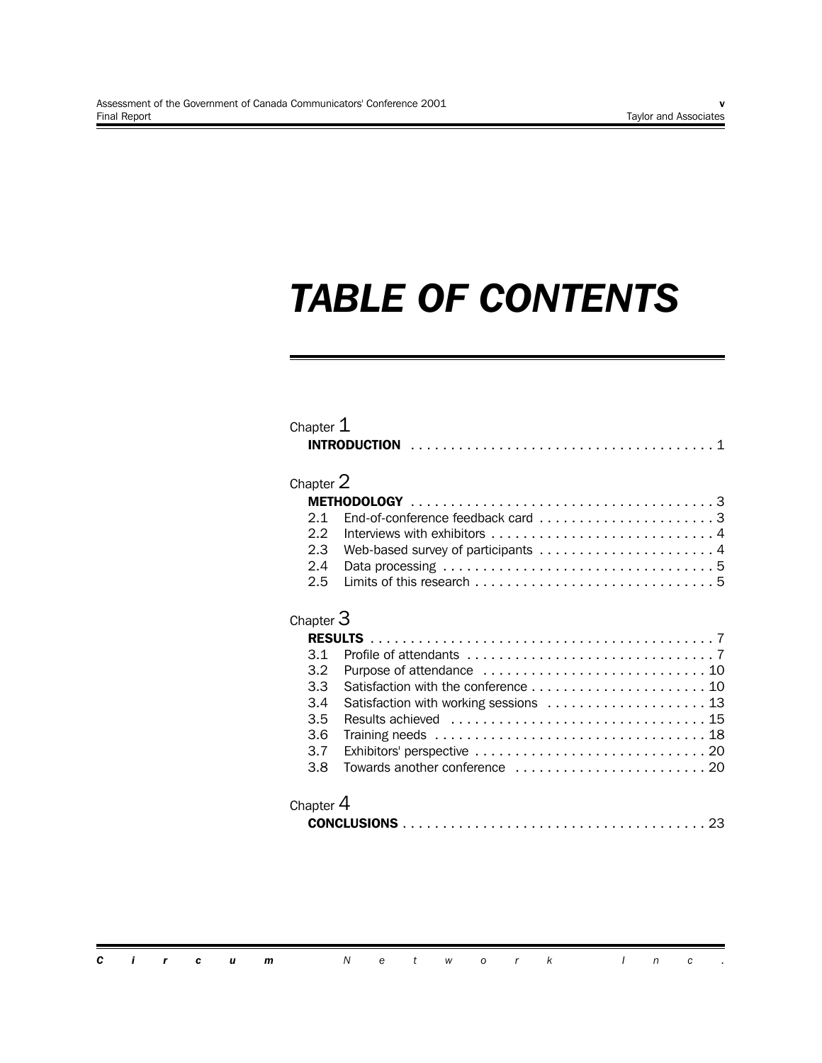## *TABLE OF CONTENTS*

| Chapter $1$                                                                                                    |
|----------------------------------------------------------------------------------------------------------------|
| Chapter 2                                                                                                      |
|                                                                                                                |
| End-of-conference feedback card 3<br>2.1                                                                       |
| 2.2                                                                                                            |
| 2.3                                                                                                            |
| 2.4                                                                                                            |
| 2.5                                                                                                            |
| Chapter $3$                                                                                                    |
|                                                                                                                |
| 3.1                                                                                                            |
| 3.2                                                                                                            |
| 3.3                                                                                                            |
| Satisfaction with working sessions  13<br>3.4                                                                  |
| 3.5                                                                                                            |
| Training needs $\ldots \ldots \ldots \ldots \ldots \ldots \ldots \ldots \ldots \ldots \ldots \ldots 18$<br>3.6 |
| 3.7                                                                                                            |
| 3.8                                                                                                            |
| Chapter 4<br>23                                                                                                |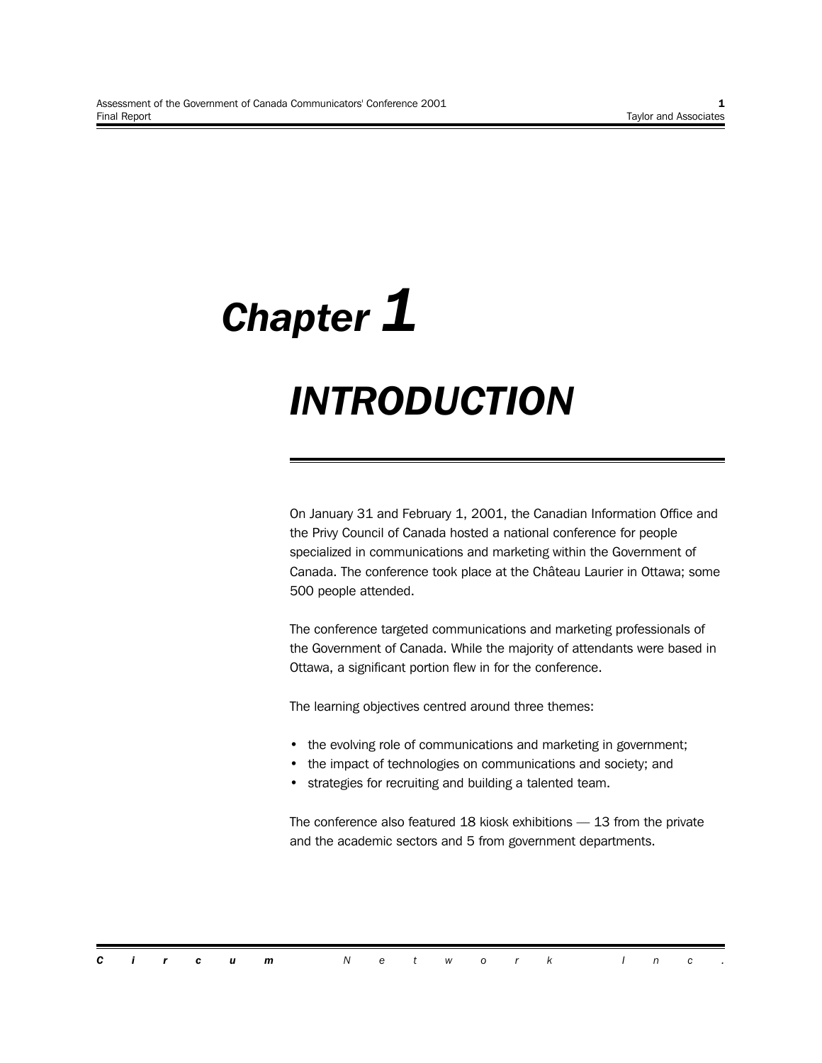# *Chapter 1 INTRODUCTION*

On January 31 and February 1, 2001, the Canadian Information Office and the Privy Council of Canada hosted a national conference for people specialized in communications and marketing within the Government of Canada. The conference took place at the Château Laurier in Ottawa; some 500 people attended.

The conference targeted communications and marketing professionals of the Government of Canada. While the majority of attendants were based in Ottawa, a significant portion flew in for the conference.

The learning objectives centred around three themes:

- the evolving role of communications and marketing in government;
- the impact of technologies on communications and society; and
- strategies for recruiting and building a talented team.

The conference also featured 18 kiosk exhibitions — 13 from the private and the academic sectors and 5 from government departments.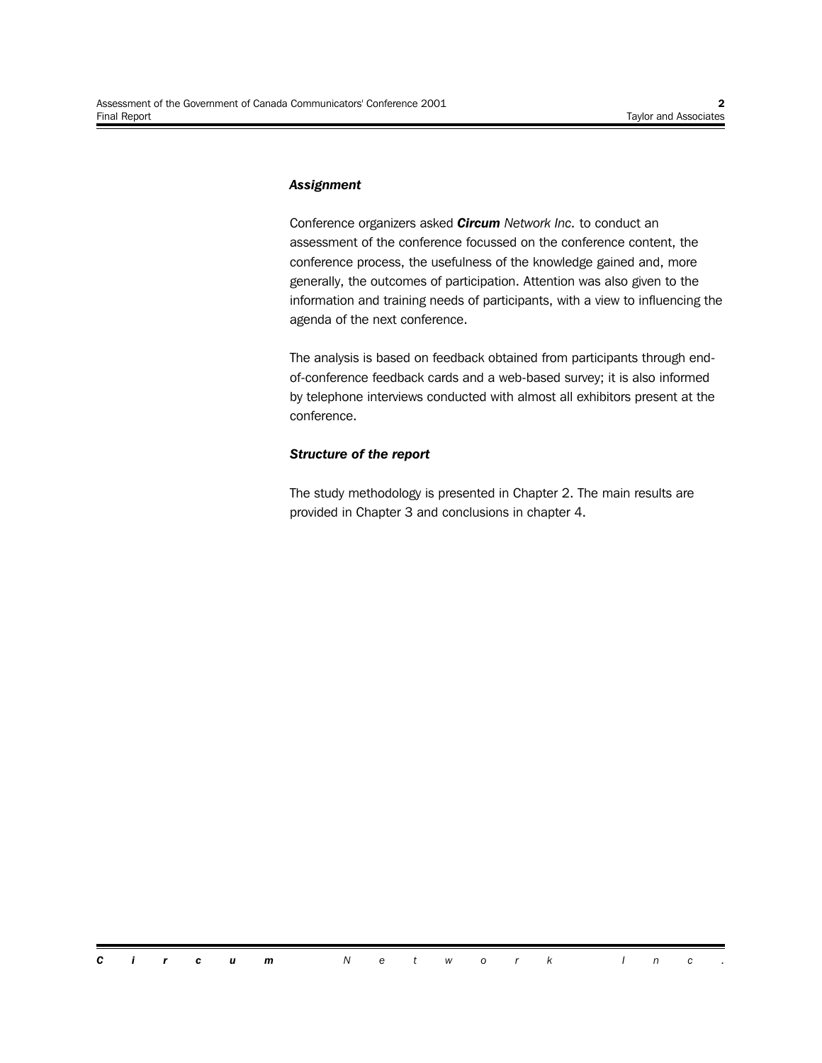#### *Assignment*

Conference organizers asked *Circum Network Inc.* to conduct an assessment of the conference focussed on the conference content, the conference process, the usefulness of the knowledge gained and, more generally, the outcomes of participation. Attention was also given to the information and training needs of participants, with a view to influencing the agenda of the next conference.

The analysis is based on feedback obtained from participants through endof-conference feedback cards and a web-based survey; it is also informed by telephone interviews conducted with almost all exhibitors present at the conference.

#### *Structure of the report*

The study methodology is presented in Chapter 2. The main results are provided in Chapter 3 and conclusions in chapter 4.

*Circum Network Inc .*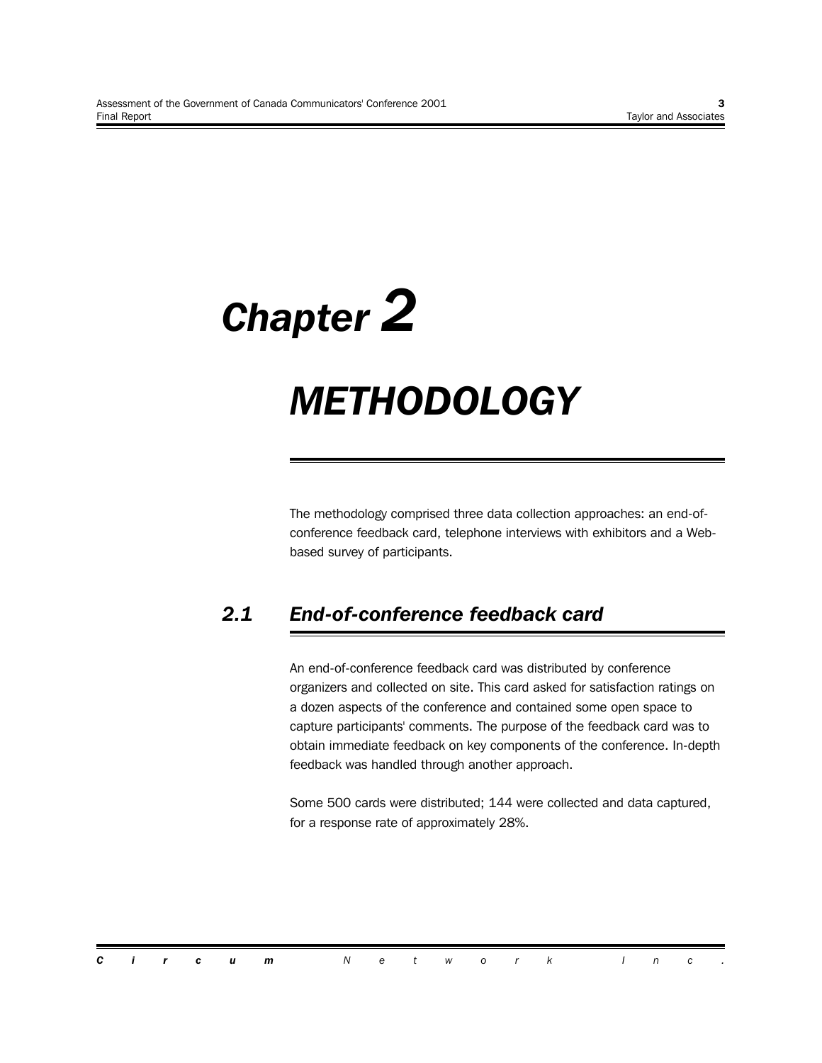# *Chapter 2*

## *METHODOLOGY*

The methodology comprised three data collection approaches: an end-ofconference feedback card, telephone interviews with exhibitors and a Webbased survey of participants.

## *2.1 End-of-conference feedback card*

An end-of-conference feedback card was distributed by conference organizers and collected on site. This card asked for satisfaction ratings on a dozen aspects of the conference and contained some open space to capture participants' comments. The purpose of the feedback card was to obtain immediate feedback on key components of the conference. In-depth feedback was handled through another approach.

Some 500 cards were distributed; 144 were collected and data captured, for a response rate of approximately 28%.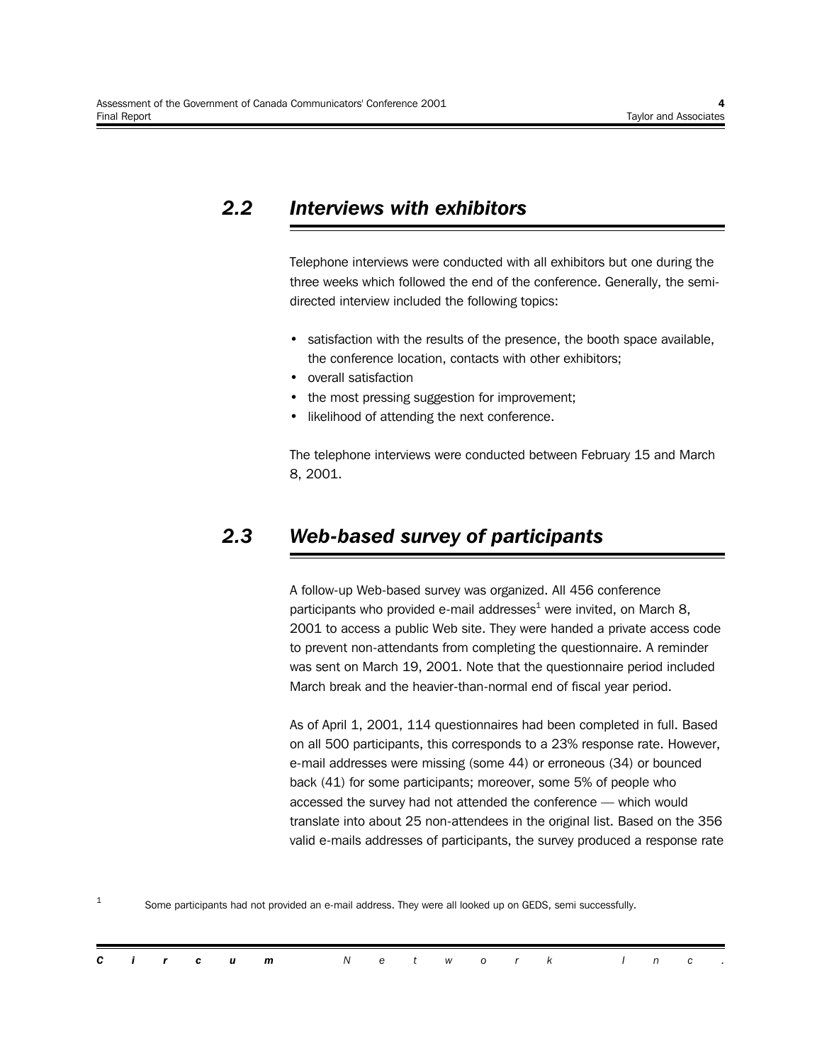## *2.2 Interviews with exhibitors*

Telephone interviews were conducted with all exhibitors but one during the three weeks which followed the end of the conference. Generally, the semidirected interview included the following topics:

- satisfaction with the results of the presence, the booth space available, the conference location, contacts with other exhibitors;
- overall satisfaction
- the most pressing suggestion for improvement;
- likelihood of attending the next conference.

The telephone interviews were conducted between February 15 and March 8, 2001.

### *2.3 Web-based survey of participants*

A follow-up Web-based survey was organized. All 456 conference participants who provided e-mail addresses<sup>1</sup> were invited, on March 8, 2001 to access a public Web site. They were handed a private access code to prevent non-attendants from completing the questionnaire. A reminder was sent on March 19, 2001. Note that the questionnaire period included March break and the heavier-than-normal end of fiscal year period.

As of April 1, 2001, 114 questionnaires had been completed in full. Based on all 500 participants, this corresponds to a 23% response rate. However, e-mail addresses were missing (some 44) or erroneous (34) or bounced back (41) for some participants; moreover, some 5% of people who accessed the survey had not attended the conference — which would translate into about 25 non-attendees in the original list. Based on the 356 valid e-mails addresses of participants, the survey produced a response rate

1 Some participants had not provided an e-mail address. They were all looked up on GEDS, semi successfully.

|  |  | <b>Circum</b> Network Inc. |  |  |  |  |  |  |
|--|--|----------------------------|--|--|--|--|--|--|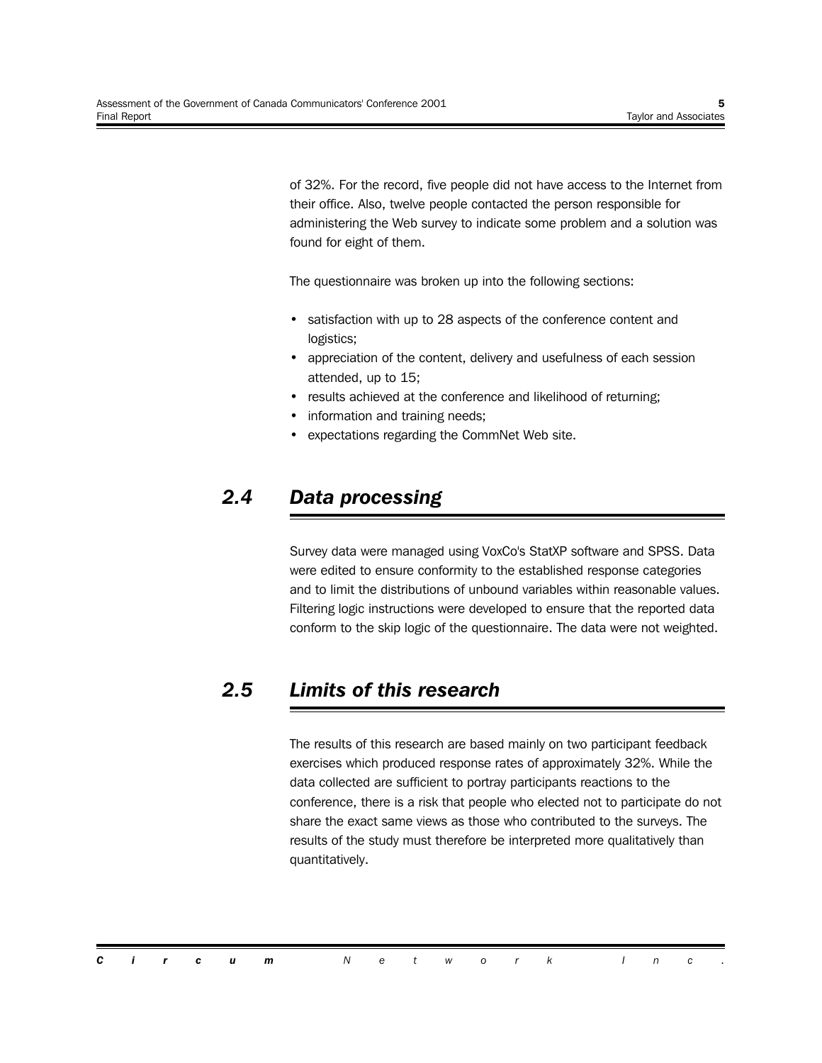of 32%. For the record, five people did not have access to the Internet from their office. Also, twelve people contacted the person responsible for administering the Web survey to indicate some problem and a solution was found for eight of them.

The questionnaire was broken up into the following sections:

- satisfaction with up to 28 aspects of the conference content and logistics;
- appreciation of the content, delivery and usefulness of each session attended, up to 15;
- results achieved at the conference and likelihood of returning;
- information and training needs;
- expectations regarding the CommNet Web site.

## *2.4 Data processing*

Survey data were managed using VoxCo's StatXP software and SPSS. Data were edited to ensure conformity to the established response categories and to limit the distributions of unbound variables within reasonable values. Filtering logic instructions were developed to ensure that the reported data conform to the skip logic of the questionnaire. The data were not weighted.

### *2.5 Limits of this research*

The results of this research are based mainly on two participant feedback exercises which produced response rates of approximately 32%. While the data collected are sufficient to portray participants reactions to the conference, there is a risk that people who elected not to participate do not share the exact same views as those who contributed to the surveys. The results of the study must therefore be interpreted more qualitatively than quantitatively.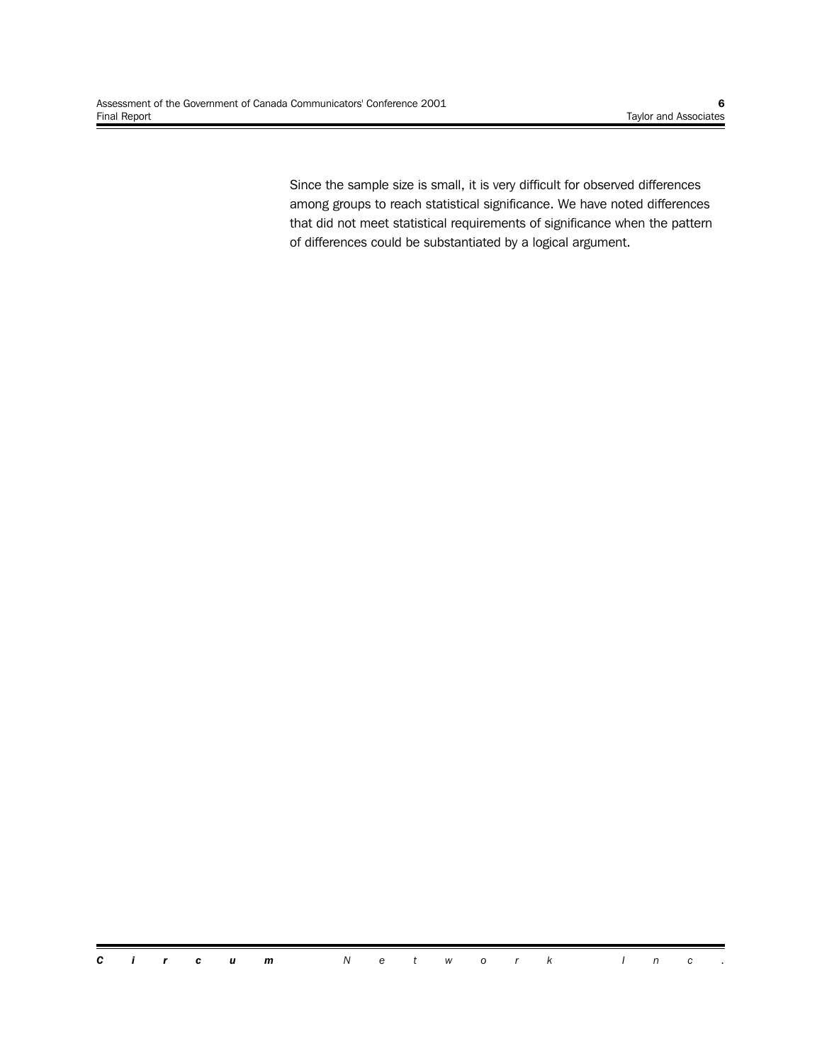Since the sample size is small, it is very difficult for observed differences among groups to reach statistical significance. We have noted differences that did not meet statistical requirements of significance when the pattern of differences could be substantiated by a logical argument.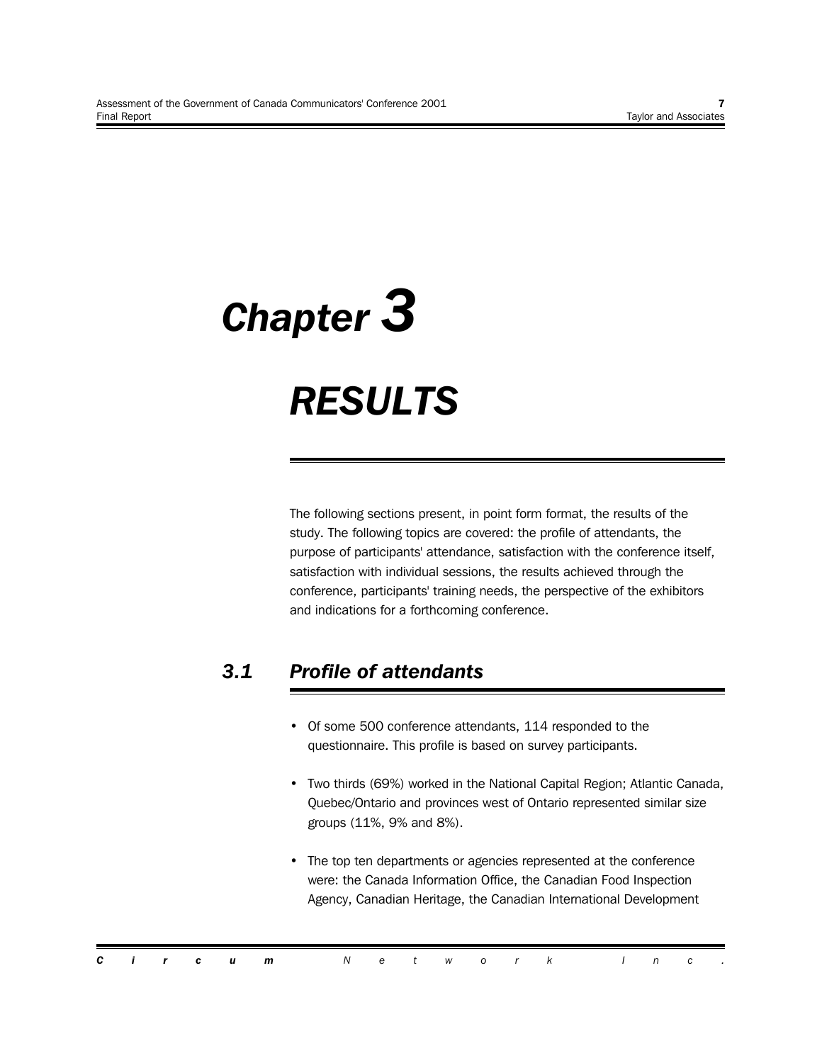# *Chapter 3 RESULTS*

The following sections present, in point form format, the results of the study. The following topics are covered: the profile of attendants, the purpose of participants' attendance, satisfaction with the conference itself, satisfaction with individual sessions, the results achieved through the conference, participants' training needs, the perspective of the exhibitors and indications for a forthcoming conference.

## *3.1 Profile of attendants*

- Of some 500 conference attendants, 114 responded to the questionnaire. This profile is based on survey participants.
- Two thirds (69%) worked in the National Capital Region; Atlantic Canada, Quebec/Ontario and provinces west of Ontario represented similar size groups (11%, 9% and 8%).
- The top ten departments or agencies represented at the conference were: the Canada Information Office, the Canadian Food Inspection Agency, Canadian Heritage, the Canadian International Development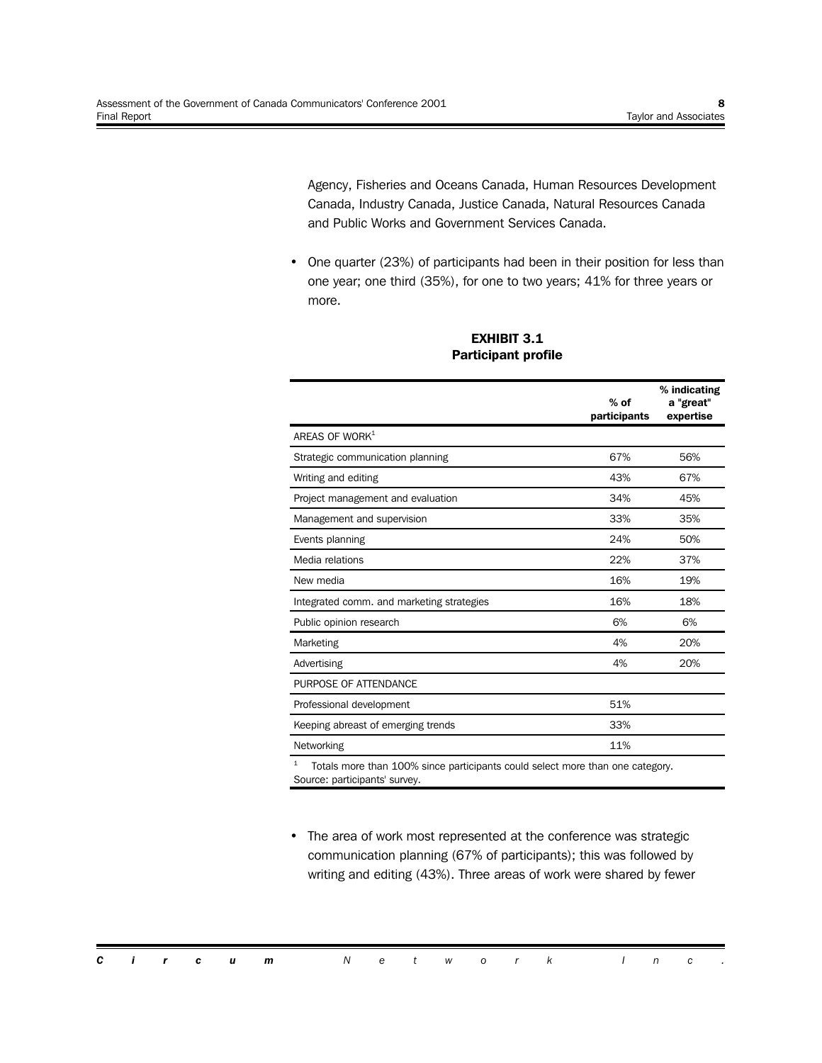Agency, Fisheries and Oceans Canada, Human Resources Development Canada, Industry Canada, Justice Canada, Natural Resources Canada and Public Works and Government Services Canada.

• One quarter (23%) of participants had been in their position for less than one year; one third (35%), for one to two years; 41% for three years or more.

|                                                                                    | $%$ of<br>participants | % indicating<br>a "great"<br>expertise |
|------------------------------------------------------------------------------------|------------------------|----------------------------------------|
| AREAS OF WORK <sup>1</sup>                                                         |                        |                                        |
| Strategic communication planning                                                   | 67%                    | 56%                                    |
| Writing and editing                                                                | 43%                    | 67%                                    |
| Project management and evaluation                                                  | 34%                    | 45%                                    |
| Management and supervision                                                         | 33%                    | 35%                                    |
| Events planning                                                                    | 24%                    | 50%                                    |
| Media relations                                                                    | 22%                    | 37%                                    |
| New media                                                                          | 16%                    | 19%                                    |
| Integrated comm. and marketing strategies                                          | 16%                    | 18%                                    |
| Public opinion research                                                            | 6%                     | 6%                                     |
| Marketing                                                                          | 4%                     | 20%                                    |
| Advertising                                                                        | 4%                     | 20%                                    |
| PURPOSE OF ATTENDANCE                                                              |                        |                                        |
| Professional development                                                           | 51%                    |                                        |
| Keeping abreast of emerging trends                                                 | 33%                    |                                        |
| Networking                                                                         | 11%                    |                                        |
| 1<br>Totals more than 100% since participants could select more than one category. |                        |                                        |

#### **EXHIBIT 3.1 Participant profile**

• The area of work most represented at the conference was strategic communication planning (67% of participants); this was followed by writing and editing (43%). Three areas of work were shared by fewer

*Circum Network Inc .*

Source: participants' survey.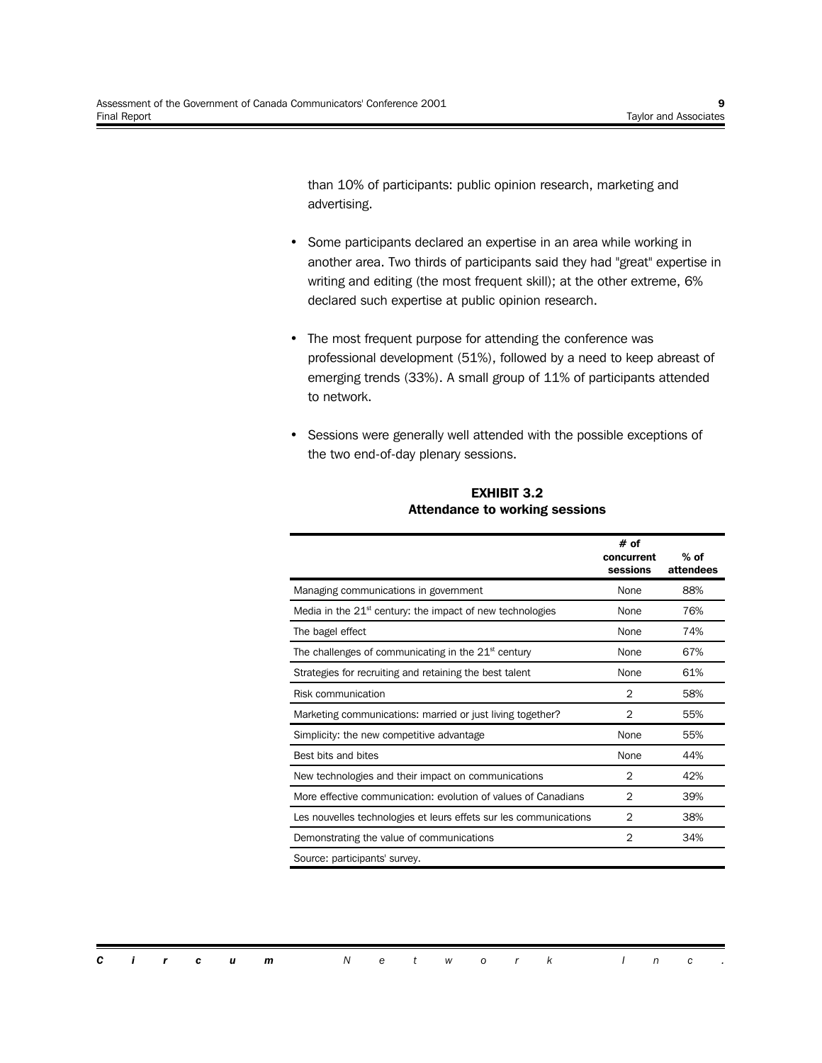than 10% of participants: public opinion research, marketing and advertising.

- Some participants declared an expertise in an area while working in another area. Two thirds of participants said they had "great" expertise in writing and editing (the most frequent skill); at the other extreme, 6% declared such expertise at public opinion research.
- The most frequent purpose for attending the conference was professional development (51%), followed by a need to keep abreast of emerging trends (33%). A small group of 11% of participants attended to network.
- Sessions were generally well attended with the possible exceptions of the two end-of-day plenary sessions.

|                                                                   | # of<br>concurrent<br>sessions | $%$ of<br>attendees |
|-------------------------------------------------------------------|--------------------------------|---------------------|
| Managing communications in government                             | None                           | 88%                 |
| Media in the $21st$ century: the impact of new technologies       | None                           | 76%                 |
| The bagel effect                                                  | None                           | 74%                 |
| The challenges of communicating in the $21st$ century             | None                           | 67%                 |
| Strategies for recruiting and retaining the best talent           | None                           | 61%                 |
| Risk communication                                                | 2                              | 58%                 |
| Marketing communications: married or just living together?        | $\overline{2}$                 | 55%                 |
| Simplicity: the new competitive advantage                         | None                           | 55%                 |
| Best bits and bites                                               | None                           | 44%                 |
| New technologies and their impact on communications               | 2                              | 42%                 |
| More effective communication: evolution of values of Canadians    | $\overline{2}$                 | 39%                 |
| Les nouvelles technologies et leurs effets sur les communications | 2                              | 38%                 |
| Demonstrating the value of communications                         | $\overline{2}$                 | 34%                 |
| Source: participants' survey.                                     |                                |                     |

**EXHIBIT 3.2 Attendance to working sessions**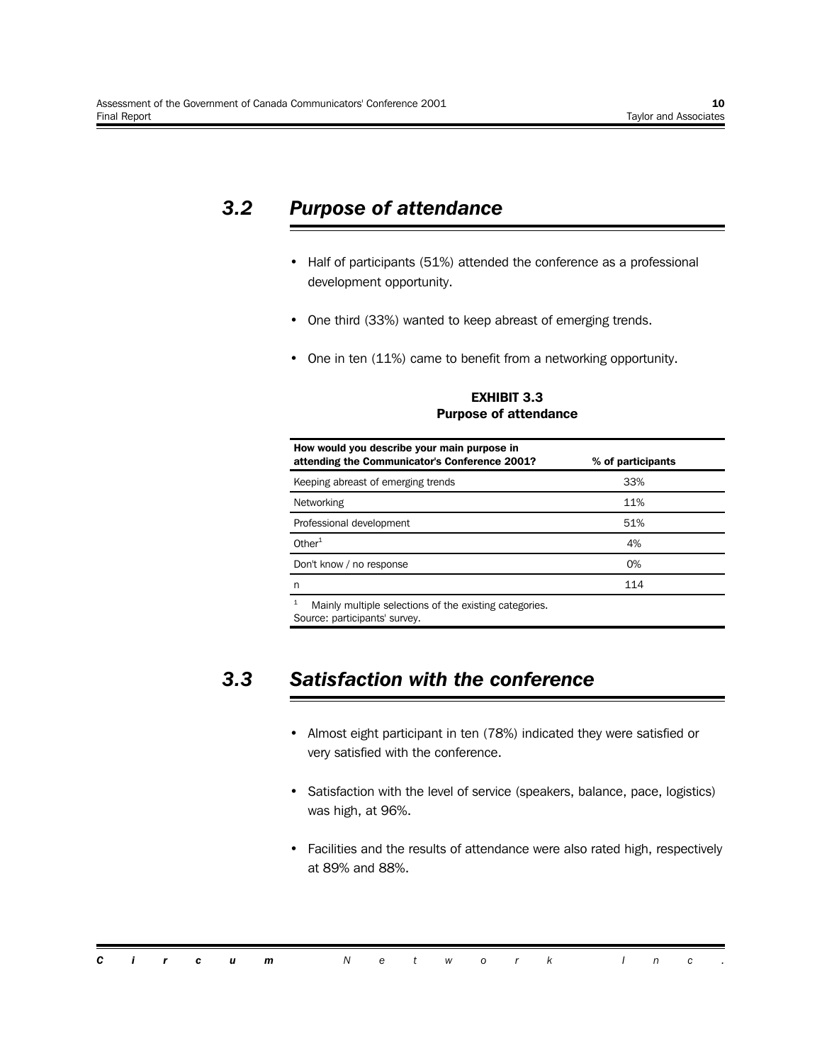## *3.2 Purpose of attendance*

- Half of participants (51%) attended the conference as a professional development opportunity.
- One third (33%) wanted to keep abreast of emerging trends.
- One in ten (11%) came to benefit from a networking opportunity.

**EXHIBIT 3.3 Purpose of attendance**

| How would you describe your main purpose in<br>attending the Communicator's Conference 2001? | % of participants |
|----------------------------------------------------------------------------------------------|-------------------|
| Keeping abreast of emerging trends                                                           | 33%               |
| Networking                                                                                   | 11%               |
| Professional development                                                                     | 51%               |
| Other $1$                                                                                    | 4%                |
| Don't know / no response                                                                     | $O\%$             |
| n                                                                                            | 114               |
| 1<br>Mainly multiple selections of the existing categories.                                  |                   |

Source: participants' survey.

## *3.3 Satisfaction with the conference*

- Almost eight participant in ten (78%) indicated they were satisfied or very satisfied with the conference.
- Satisfaction with the level of service (speakers, balance, pace, logistics) was high, at 96%.
- Facilities and the results of attendance were also rated high, respectively at 89% and 88%.

|  |  | <b>Circum</b> Network Inc. |  |  |  |  |  |  |
|--|--|----------------------------|--|--|--|--|--|--|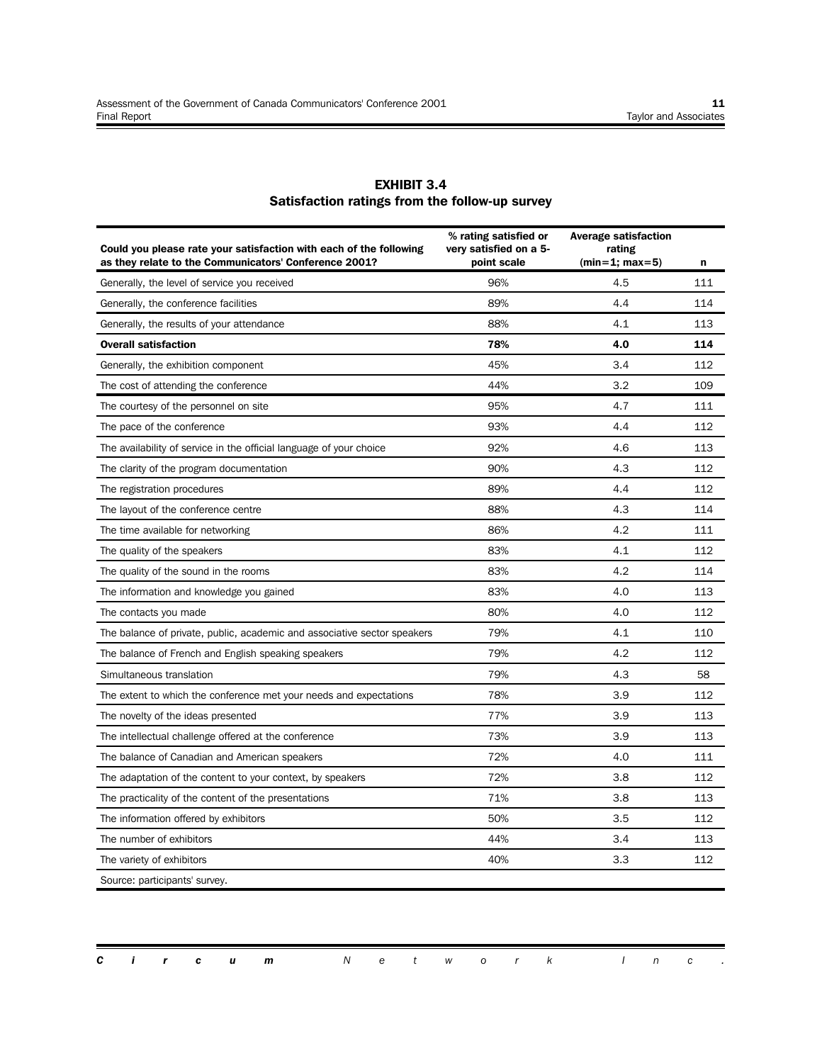ī

| <b>EXHIBIT 3.4</b>                             |
|------------------------------------------------|
| Satisfaction ratings from the follow-up survey |

| Could you please rate your satisfaction with each of the following<br>as they relate to the Communicators' Conference 2001? | % rating satisfied or<br>very satisfied on a 5-<br>point scale | <b>Average satisfaction</b><br>rating<br>$(min=1; max=5)$ | n   |
|-----------------------------------------------------------------------------------------------------------------------------|----------------------------------------------------------------|-----------------------------------------------------------|-----|
| Generally, the level of service you received                                                                                | 96%                                                            | 4.5                                                       | 111 |
| Generally, the conference facilities                                                                                        | 89%                                                            | 4.4                                                       | 114 |
| Generally, the results of your attendance                                                                                   | 88%                                                            | 4.1                                                       | 113 |
| <b>Overall satisfaction</b>                                                                                                 | 78%                                                            | 4.0                                                       | 114 |
| Generally, the exhibition component                                                                                         | 45%                                                            | 3.4                                                       | 112 |
| The cost of attending the conference                                                                                        | 44%                                                            | 3.2                                                       | 109 |
| The courtesy of the personnel on site                                                                                       | 95%                                                            | 4.7                                                       | 111 |
| The pace of the conference                                                                                                  | 93%                                                            | 4.4                                                       | 112 |
| The availability of service in the official language of your choice                                                         | 92%                                                            | 4.6                                                       | 113 |
| The clarity of the program documentation                                                                                    | 90%                                                            | 4.3                                                       | 112 |
| The registration procedures                                                                                                 | 89%                                                            | 4.4                                                       | 112 |
| The layout of the conference centre                                                                                         | 88%                                                            | 4.3                                                       | 114 |
| The time available for networking                                                                                           | 86%                                                            | 4.2                                                       | 111 |
| The quality of the speakers                                                                                                 | 83%                                                            | 4.1                                                       | 112 |
| The quality of the sound in the rooms                                                                                       | 83%                                                            | 4.2                                                       | 114 |
| The information and knowledge you gained                                                                                    | 83%                                                            | 4.0                                                       | 113 |
| The contacts you made                                                                                                       | 80%                                                            | 4.0                                                       | 112 |
| The balance of private, public, academic and associative sector speakers                                                    | 79%                                                            | 4.1                                                       | 110 |
| The balance of French and English speaking speakers                                                                         | 79%                                                            | 4.2                                                       | 112 |
| Simultaneous translation                                                                                                    | 79%                                                            | 4.3                                                       | 58  |
| The extent to which the conference met your needs and expectations                                                          | 78%                                                            | 3.9                                                       | 112 |
| The novelty of the ideas presented                                                                                          | 77%                                                            | 3.9                                                       | 113 |
| The intellectual challenge offered at the conference                                                                        | 73%                                                            | 3.9                                                       | 113 |
| The balance of Canadian and American speakers                                                                               | 72%                                                            | 4.0                                                       | 111 |
| The adaptation of the content to your context, by speakers                                                                  | 72%                                                            | 3.8                                                       | 112 |
| The practicality of the content of the presentations                                                                        | 71%                                                            | 3.8                                                       | 113 |
| The information offered by exhibitors                                                                                       | 50%                                                            | 3.5                                                       | 112 |
| The number of exhibitors                                                                                                    | 44%                                                            | 3.4                                                       | 113 |
| The variety of exhibitors                                                                                                   | 40%                                                            | 3.3                                                       | 112 |
| Source: participants' survey.                                                                                               |                                                                |                                                           |     |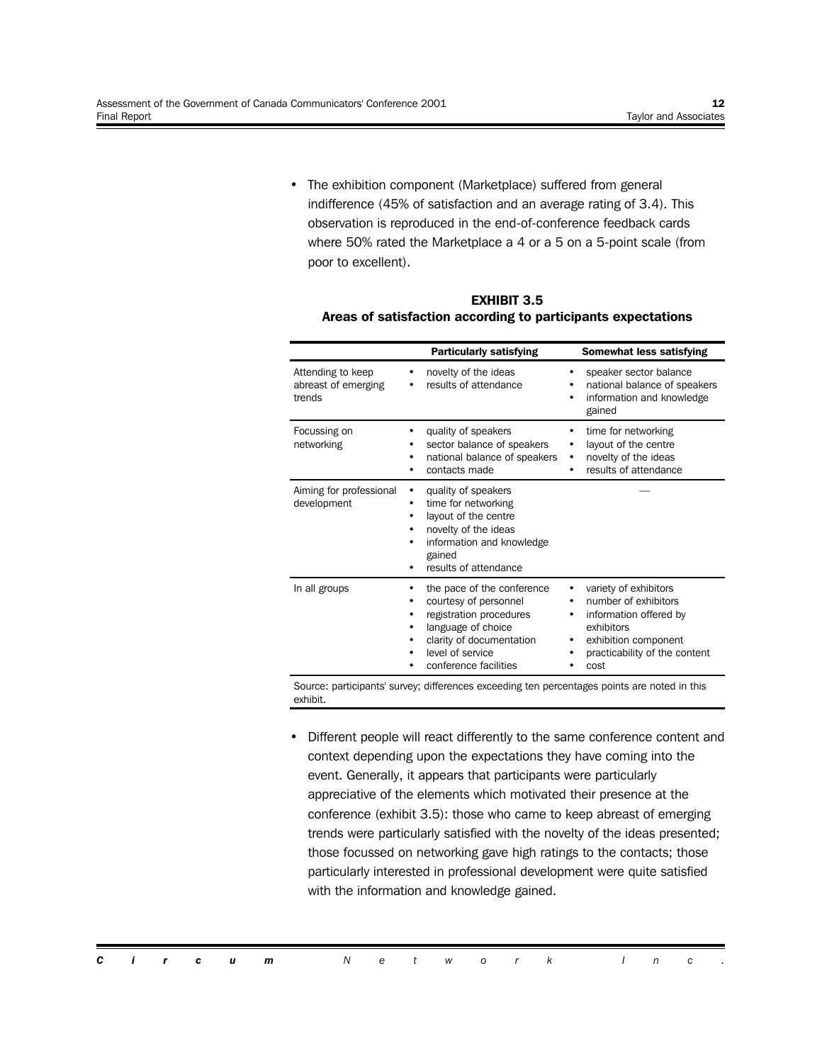• The exhibition component (Marketplace) suffered from general indifference (45% of satisfaction and an average rating of 3.4). This observation is reproduced in the end-of-conference feedback cards where 50% rated the Marketplace a 4 or a 5 on a 5-point scale (from poor to excellent).

|                                                    | <b>Particularly satisfying</b>                                                                                                                                                | <b>Somewhat less satisfying</b>                                                                                                                                  |
|----------------------------------------------------|-------------------------------------------------------------------------------------------------------------------------------------------------------------------------------|------------------------------------------------------------------------------------------------------------------------------------------------------------------|
| Attending to keep<br>abreast of emerging<br>trends | novelty of the ideas<br>results of attendance                                                                                                                                 | speaker sector balance<br>national balance of speakers<br>information and knowledge<br>٠<br>gained                                                               |
| Focussing on<br>networking                         | quality of speakers<br>sector balance of speakers<br>٠<br>national balance of speakers<br>٠<br>contacts made                                                                  | time for networking<br>٠<br>layout of the centre<br>٠<br>novelty of the ideas<br>٠<br>results of attendance                                                      |
| Aiming for professional<br>development             | quality of speakers<br>time for networking<br>layout of the centre<br>novelty of the ideas<br>information and knowledge<br>gained<br>results of attendance                    |                                                                                                                                                                  |
| In all groups                                      | the pace of the conference<br>courtesy of personnel<br>registration procedures<br>language of choice<br>clarity of documentation<br>level of service<br>conference facilities | variety of exhibitors<br>number of exhibitors<br>information offered by<br>٠<br>exhibitors<br>exhibition component<br>٠<br>practicability of the content<br>cost |

| <b>EXHIBIT 3.5</b>                                           |  |
|--------------------------------------------------------------|--|
| Areas of satisfaction according to participants expectations |  |

Source: participants' survey; differences exceeding ten percentages points are noted in this exhibit.

• Different people will react differently to the same conference content and context depending upon the expectations they have coming into the event. Generally, it appears that participants were particularly appreciative of the elements which motivated their presence at the conference (exhibit 3.5): those who came to keep abreast of emerging trends were particularly satisfied with the novelty of the ideas presented; those focussed on networking gave high ratings to the contacts; those particularly interested in professional development were quite satisfied with the information and knowledge gained.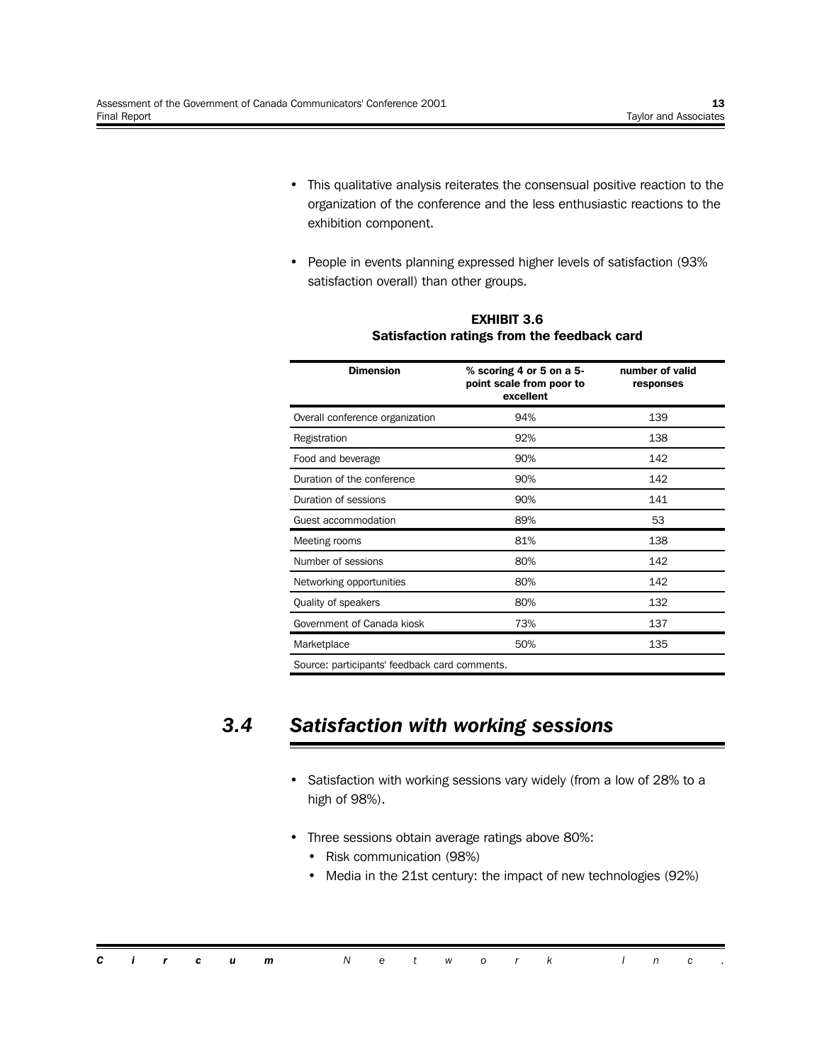- This qualitative analysis reiterates the consensual positive reaction to the organization of the conference and the less enthusiastic reactions to the exhibition component.
- People in events planning expressed higher levels of satisfaction (93% satisfaction overall) than other groups.

| <b>Dimension</b>                | $%$ scoring 4 or 5 on a 5-<br>point scale from poor to<br>excellent | number of valid<br>responses |
|---------------------------------|---------------------------------------------------------------------|------------------------------|
| Overall conference organization | 94%                                                                 | 139                          |
| Registration                    | 92%                                                                 | 138                          |
| Food and beverage               | 90%                                                                 | 142                          |
| Duration of the conference      | 90%                                                                 | 142                          |
| Duration of sessions            | 90%                                                                 | 141                          |
| Guest accommodation             | 89%                                                                 | 53                           |
| Meeting rooms                   | 81%                                                                 | 138                          |
| Number of sessions              | 80%                                                                 | 142                          |
| Networking opportunities        | 80%                                                                 | 142                          |
| Quality of speakers             | 80%                                                                 | 132                          |
| Government of Canada kiosk      | 73%                                                                 | 137                          |
| Marketplace                     | 50%                                                                 | 135                          |
|                                 |                                                                     |                              |

#### **EXHIBIT 3.6 Satisfaction ratings from the feedback card**

Source: participants' feedback card comments.

## *3.4 Satisfaction with working sessions*

- Satisfaction with working sessions vary widely (from a low of 28% to a high of 98%).
- Three sessions obtain average ratings above 80%:
	- Risk communication (98%)
	- Media in the 21st century: the impact of new technologies (92%)

|  |  | <b>Circum</b> Network Inc. |  |  |  |  |  |  |
|--|--|----------------------------|--|--|--|--|--|--|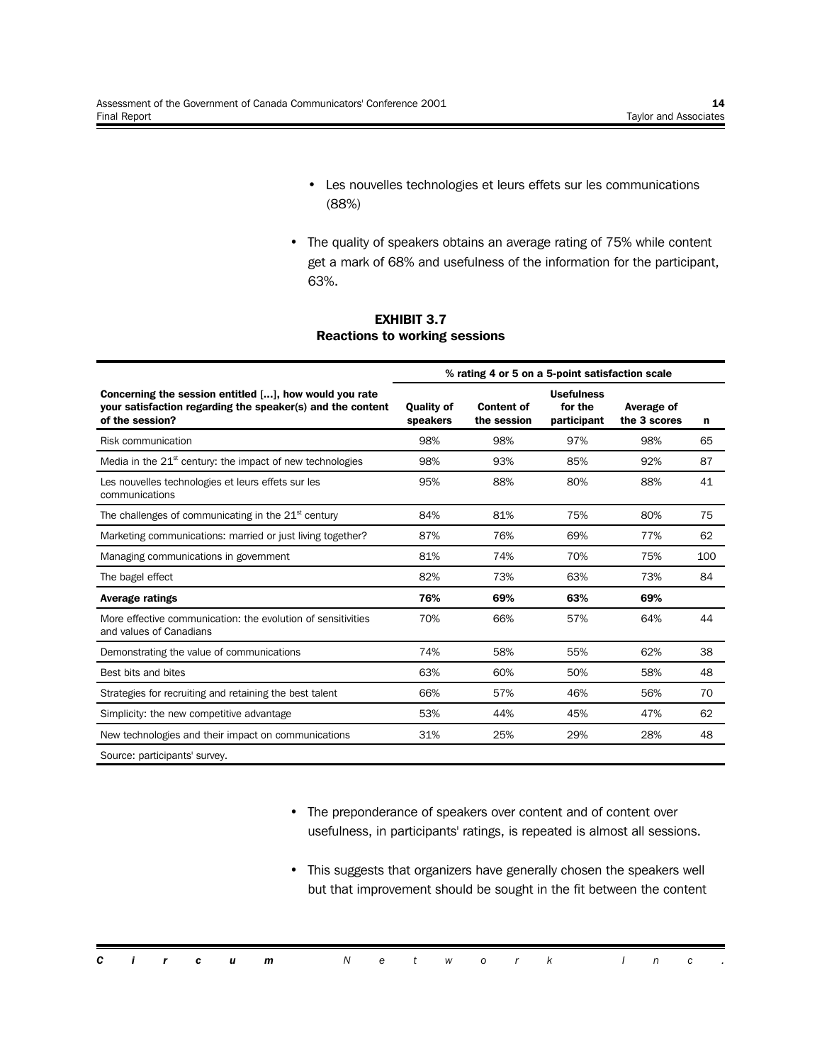- Les nouvelles technologies et leurs effets sur les communications (88%)
- The quality of speakers obtains an average rating of 75% while content get a mark of 68% and usefulness of the information for the participant, 63%.

#### **EXHIBIT 3.7 Reactions to working sessions**

|                                                                                                                                         |                               | % rating 4 or 5 on a 5-point satisfaction scale |                                             |                            |     |
|-----------------------------------------------------------------------------------------------------------------------------------------|-------------------------------|-------------------------------------------------|---------------------------------------------|----------------------------|-----|
| Concerning the session entitled [], how would you rate<br>your satisfaction regarding the speaker(s) and the content<br>of the session? | <b>Quality of</b><br>speakers | <b>Content of</b><br>the session                | <b>Usefulness</b><br>for the<br>participant | Average of<br>the 3 scores | n   |
| Risk communication                                                                                                                      | 98%                           | 98%                                             | 97%                                         | 98%                        | 65  |
| Media in the $21st$ century: the impact of new technologies                                                                             | 98%                           | 93%                                             | 85%                                         | 92%                        | 87  |
| Les nouvelles technologies et leurs effets sur les<br>communications                                                                    | 95%                           | 88%                                             | 80%                                         | 88%                        | 41  |
| The challenges of communicating in the $21st$ century                                                                                   | 84%                           | 81%                                             | 75%                                         | 80%                        | 75  |
| Marketing communications: married or just living together?                                                                              | 87%                           | 76%                                             | 69%                                         | 77%                        | 62  |
| Managing communications in government                                                                                                   | 81%                           | 74%                                             | 70%                                         | 75%                        | 100 |
| The bagel effect                                                                                                                        | 82%                           | 73%                                             | 63%                                         | 73%                        | 84  |
| <b>Average ratings</b>                                                                                                                  | 76%                           | 69%                                             | 63%                                         | 69%                        |     |
| More effective communication: the evolution of sensitivities<br>and values of Canadians                                                 | 70%                           | 66%                                             | 57%                                         | 64%                        | 44  |
| Demonstrating the value of communications                                                                                               | 74%                           | 58%                                             | 55%                                         | 62%                        | 38  |
| Best bits and bites                                                                                                                     | 63%                           | 60%                                             | 50%                                         | 58%                        | 48  |
| Strategies for recruiting and retaining the best talent                                                                                 | 66%                           | 57%                                             | 46%                                         | 56%                        | 70  |
| Simplicity: the new competitive advantage                                                                                               | 53%                           | 44%                                             | 45%                                         | 47%                        | 62  |
| New technologies and their impact on communications                                                                                     | 31%                           | 25%                                             | 29%                                         | 28%                        | 48  |
| Source: participants' survey.                                                                                                           |                               |                                                 |                                             |                            |     |

- The preponderance of speakers over content and of content over usefulness, in participants' ratings, is repeated is almost all sessions.
- This suggests that organizers have generally chosen the speakers well but that improvement should be sought in the fit between the content

|  |  | <b>Circum</b> Network Inc. |  |  |  |  |  |  |
|--|--|----------------------------|--|--|--|--|--|--|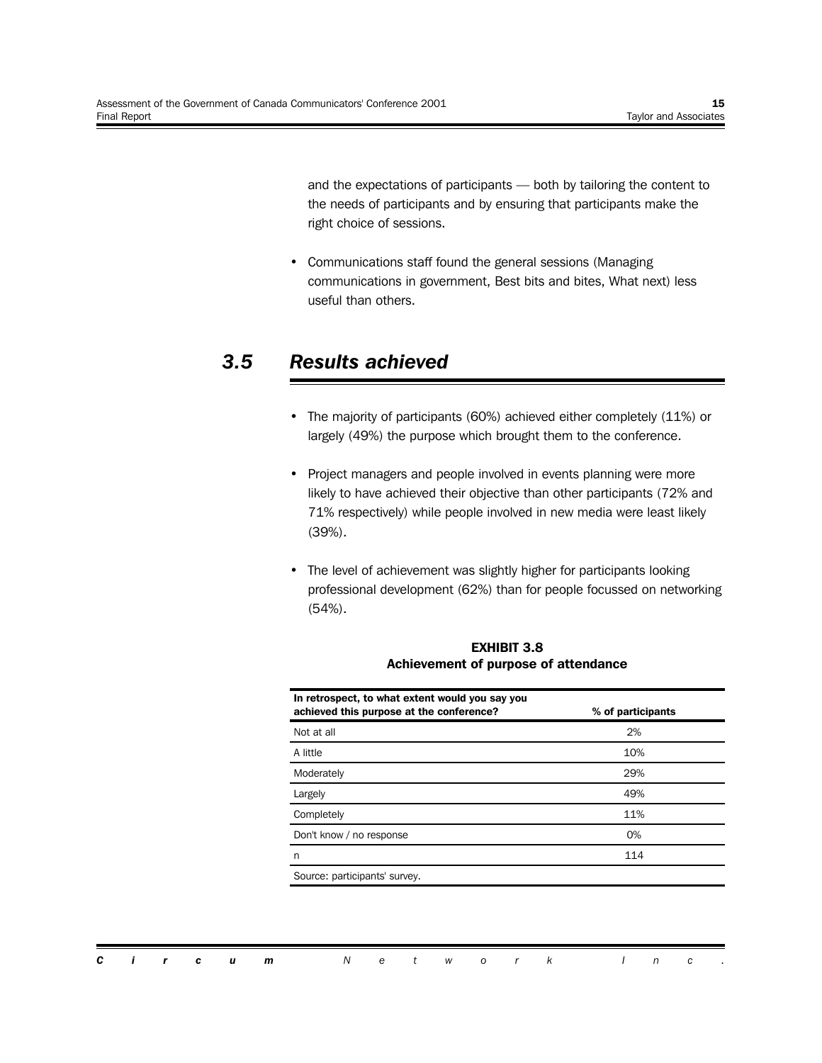and the expectations of participants — both by tailoring the content to the needs of participants and by ensuring that participants make the right choice of sessions.

• Communications staff found the general sessions (Managing communications in government, Best bits and bites, What next) less useful than others.

### *3.5 Results achieved*

- The majority of participants (60%) achieved either completely (11%) or largely (49%) the purpose which brought them to the conference.
- Project managers and people involved in events planning were more likely to have achieved their objective than other participants (72% and 71% respectively) while people involved in new media were least likely (39%).
- The level of achievement was slightly higher for participants looking professional development (62%) than for people focussed on networking (54%).

| In retrospect, to what extent would you say you<br>achieved this purpose at the conference? | % of participants |
|---------------------------------------------------------------------------------------------|-------------------|
| Not at all                                                                                  | 2%                |
| A little                                                                                    | 10%               |
| Moderately                                                                                  | 29%               |
| Largely                                                                                     | 49%               |
| Completely                                                                                  | 11%               |
| Don't know / no response                                                                    | 0%                |
| n                                                                                           | 114               |
| Source: participants' survey.                                                               |                   |

**EXHIBIT 3.8 Achievement of purpose of attendance**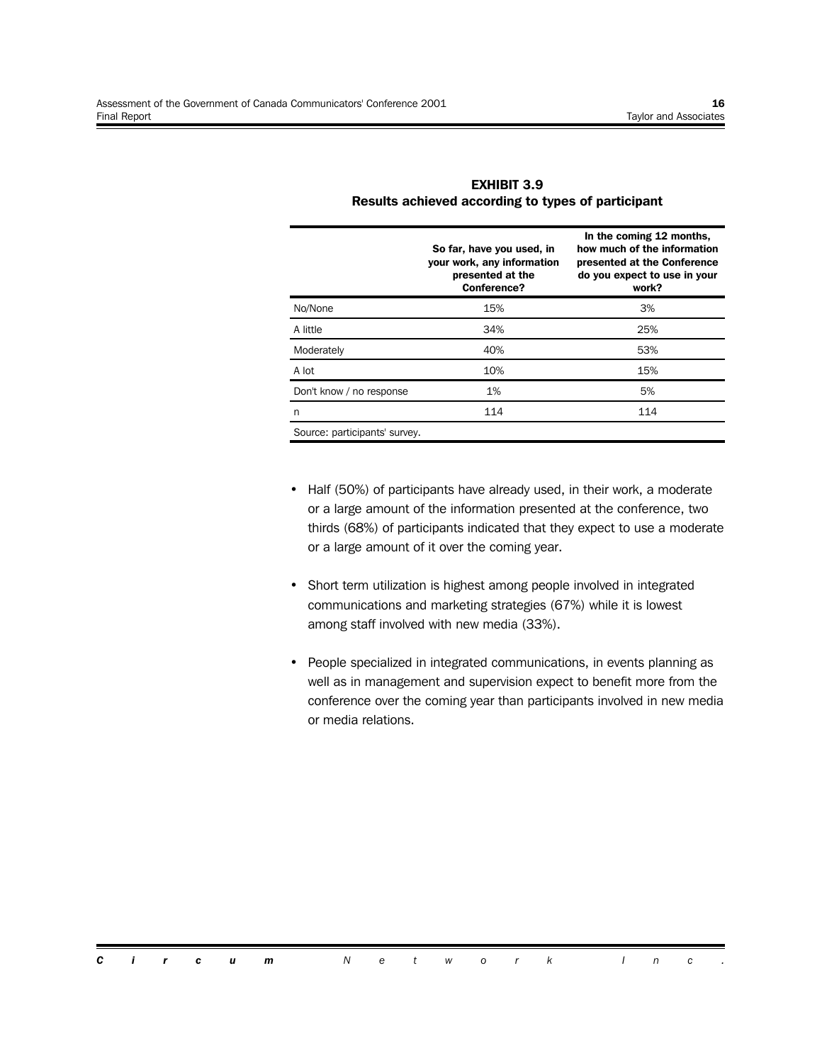|                               | So far, have you used, in<br>your work, any information<br>presented at the<br>Conference? | In the coming 12 months,<br>how much of the information<br>presented at the Conference<br>do you expect to use in your<br>work? |
|-------------------------------|--------------------------------------------------------------------------------------------|---------------------------------------------------------------------------------------------------------------------------------|
| No/None                       | 15%                                                                                        | 3%                                                                                                                              |
| A little                      | 34%                                                                                        | 25%                                                                                                                             |
| Moderately                    | 40%                                                                                        | 53%                                                                                                                             |
| A lot                         | 10%                                                                                        | 15%                                                                                                                             |
| Don't know / no response      | 1%                                                                                         | 5%                                                                                                                              |
| n                             | 114                                                                                        | 114                                                                                                                             |
| Source: participants' survey. |                                                                                            |                                                                                                                                 |

**EXHIBIT 3.9 Results achieved according to types of participant**

- Half (50%) of participants have already used, in their work, a moderate or a large amount of the information presented at the conference, two thirds (68%) of participants indicated that they expect to use a moderate or a large amount of it over the coming year.
- Short term utilization is highest among people involved in integrated communications and marketing strategies (67%) while it is lowest among staff involved with new media (33%).
- People specialized in integrated communications, in events planning as well as in management and supervision expect to benefit more from the conference over the coming year than participants involved in new media or media relations.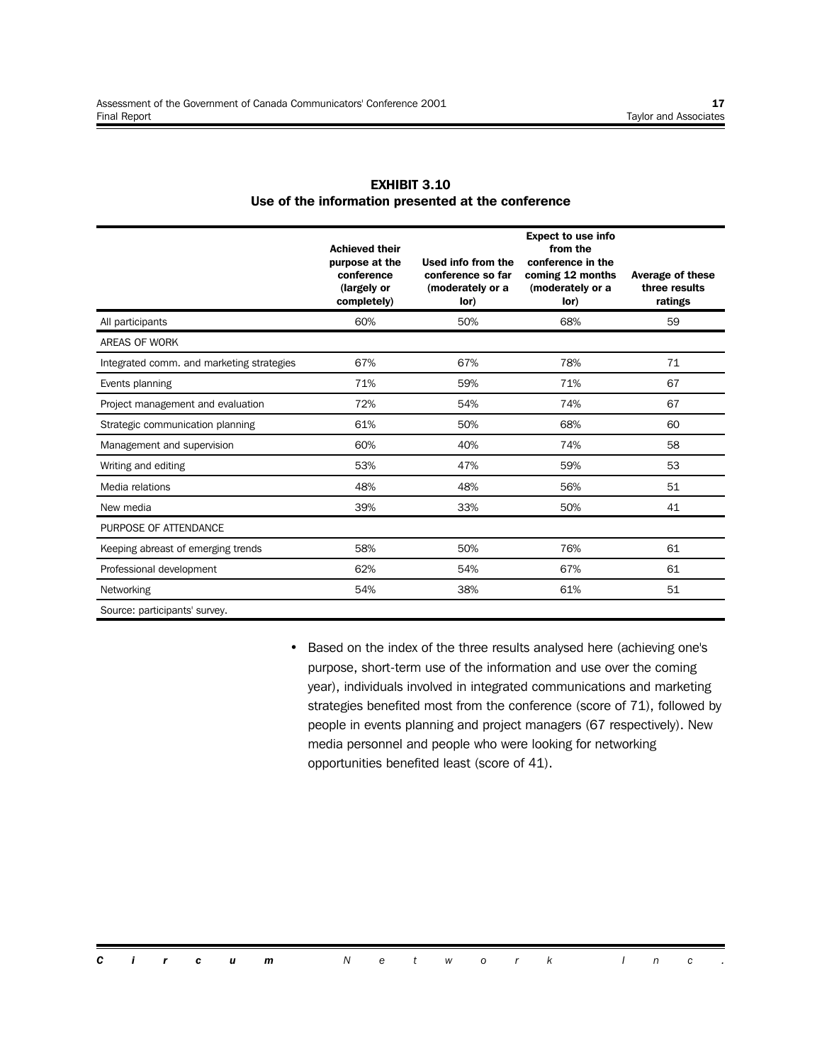|                                           | <b>Achieved their</b><br>purpose at the<br>conference<br>(largely or<br>completely) | Used info from the<br>conference so far<br>(moderately or a<br>lor) | <b>Expect to use info</b><br>from the<br>conference in the<br>coming 12 months<br>(moderately or a<br>lor) | <b>Average of these</b><br>three results<br>ratings |
|-------------------------------------------|-------------------------------------------------------------------------------------|---------------------------------------------------------------------|------------------------------------------------------------------------------------------------------------|-----------------------------------------------------|
| All participants                          | 60%                                                                                 | 50%                                                                 | 68%                                                                                                        | 59                                                  |
| AREAS OF WORK                             |                                                                                     |                                                                     |                                                                                                            |                                                     |
| Integrated comm. and marketing strategies | 67%                                                                                 | 67%                                                                 | 78%                                                                                                        | 71                                                  |
| Events planning                           | 71%                                                                                 | 59%                                                                 | 71%                                                                                                        | 67                                                  |
| Project management and evaluation         | 72%                                                                                 | 54%                                                                 | 74%                                                                                                        | 67                                                  |
| Strategic communication planning          | 61%                                                                                 | 50%                                                                 | 68%                                                                                                        | 60                                                  |
| Management and supervision                | 60%                                                                                 | 40%                                                                 | 74%                                                                                                        | 58                                                  |
| Writing and editing                       | 53%                                                                                 | 47%                                                                 | 59%                                                                                                        | 53                                                  |
| Media relations                           | 48%                                                                                 | 48%                                                                 | 56%                                                                                                        | 51                                                  |
| New media                                 | 39%                                                                                 | 33%                                                                 | 50%                                                                                                        | 41                                                  |
| PURPOSE OF ATTENDANCE                     |                                                                                     |                                                                     |                                                                                                            |                                                     |
| Keeping abreast of emerging trends        | 58%                                                                                 | 50%                                                                 | 76%                                                                                                        | 61                                                  |
| Professional development                  | 62%                                                                                 | 54%                                                                 | 67%                                                                                                        | 61                                                  |
| Networking                                | 54%                                                                                 | 38%                                                                 | 61%                                                                                                        | 51                                                  |
| Source: participants' survey.             |                                                                                     |                                                                     |                                                                                                            |                                                     |

#### **EXHIBIT 3.10 Use of the information presented at the conference**

• Based on the index of the three results analysed here (achieving one's purpose, short-term use of the information and use over the coming year), individuals involved in integrated communications and marketing strategies benefited most from the conference (score of 71), followed by people in events planning and project managers (67 respectively). New media personnel and people who were looking for networking opportunities benefited least (score of 41).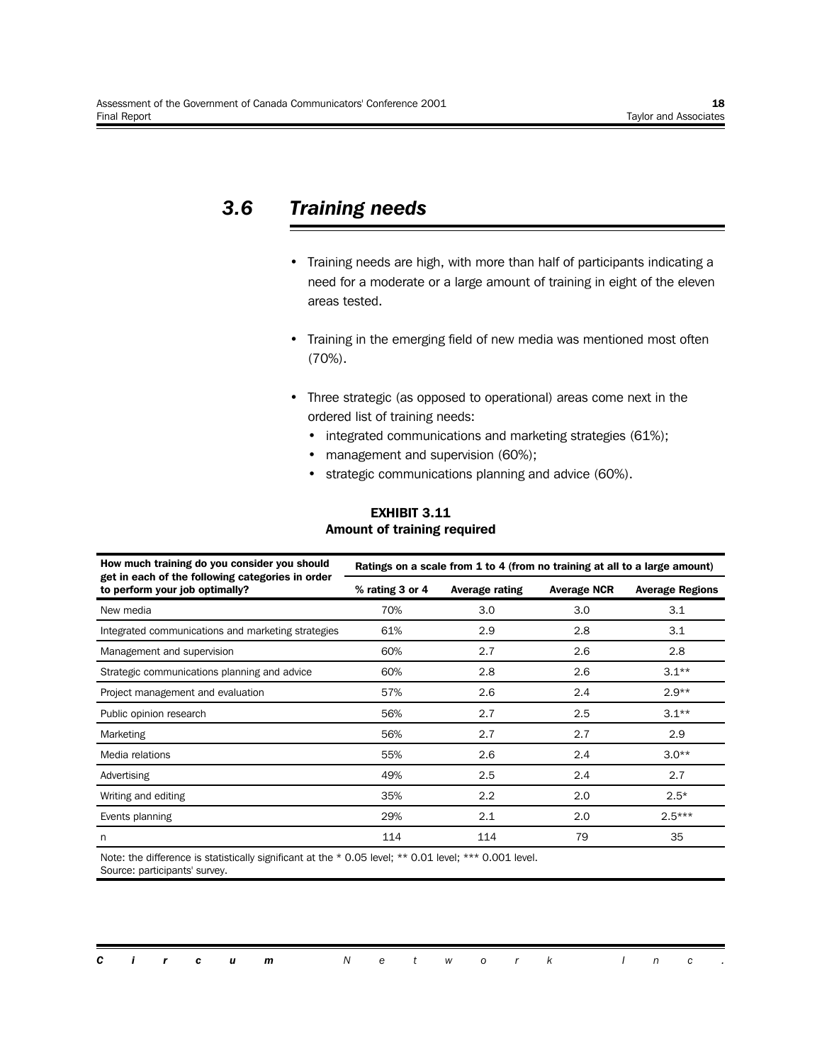## *3.6 Training needs*

- Training needs are high, with more than half of participants indicating a need for a moderate or a large amount of training in eight of the eleven areas tested.
- Training in the emerging field of new media was mentioned most often (70%).
- Three strategic (as opposed to operational) areas come next in the ordered list of training needs:
	- integrated communications and marketing strategies (61%);
	- management and supervision (60%);
	- strategic communications planning and advice (60%).

#### **EXHIBIT 3.11 Amount of training required**

| How much training do you consider you should                                       | Ratings on a scale from 1 to 4 (from no training at all to a large amount) |                |                    |                        |  |  |  |  |  |
|------------------------------------------------------------------------------------|----------------------------------------------------------------------------|----------------|--------------------|------------------------|--|--|--|--|--|
| get in each of the following categories in order<br>to perform your job optimally? | % rating 3 or 4                                                            | Average rating | <b>Average NCR</b> | <b>Average Regions</b> |  |  |  |  |  |
| New media                                                                          | 70%                                                                        | 3.0            | 3.0                | 3.1                    |  |  |  |  |  |
| Integrated communications and marketing strategies                                 | 61%                                                                        | 2.9            | 2.8                | 3.1                    |  |  |  |  |  |
| Management and supervision                                                         | 60%                                                                        | 2.7            | 2.6                | 2.8                    |  |  |  |  |  |
| Strategic communications planning and advice                                       | 60%                                                                        | 2.8            | 2.6                | $3.1**$                |  |  |  |  |  |
| Project management and evaluation                                                  | 57%                                                                        | 2.6            | 2.4                | $2.9**$                |  |  |  |  |  |
| Public opinion research                                                            | 56%                                                                        | 2.7            | 2.5                | $3.1**$                |  |  |  |  |  |
| Marketing                                                                          | 56%                                                                        | 2.7            | 2.7                | 2.9                    |  |  |  |  |  |
| Media relations                                                                    | 55%                                                                        | 2.6            | 2.4                | $3.0**$                |  |  |  |  |  |
| Advertising                                                                        | 49%                                                                        | 2.5            | 2.4                | 2.7                    |  |  |  |  |  |
| Writing and editing                                                                | 35%                                                                        | 2.2            | 2.0                | $2.5*$                 |  |  |  |  |  |
| Events planning                                                                    | 29%                                                                        | 2.1            | 2.0                | $2.5***$               |  |  |  |  |  |
| n                                                                                  | 114                                                                        | 114            | 79                 | 35                     |  |  |  |  |  |

Note: the difference is statistically significant at the \* 0.05 level; \*\* 0.01 level; \*\*\* 0.001 level. Source: participants' survey.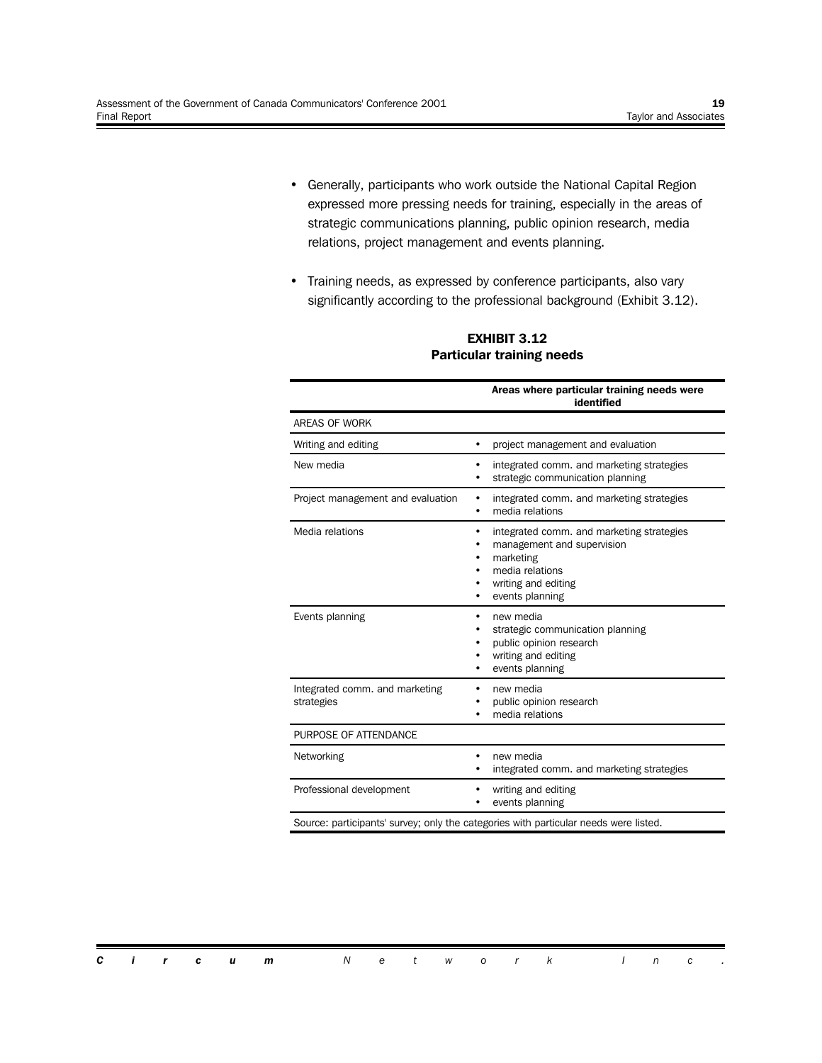- Generally, participants who work outside the National Capital Region expressed more pressing needs for training, especially in the areas of strategic communications planning, public opinion research, media relations, project management and events planning.
- Training needs, as expressed by conference participants, also vary significantly according to the professional background (Exhibit 3.12).

|                                              | Areas where particular training needs were<br>identified                                                                                          |
|----------------------------------------------|---------------------------------------------------------------------------------------------------------------------------------------------------|
| <b>AREAS OF WORK</b>                         |                                                                                                                                                   |
| Writing and editing                          | project management and evaluation<br>$\bullet$                                                                                                    |
| New media                                    | integrated comm. and marketing strategies<br>strategic communication planning                                                                     |
| Project management and evaluation            | integrated comm. and marketing strategies<br>٠<br>media relations<br>$\bullet$                                                                    |
| Media relations                              | integrated comm. and marketing strategies<br>management and supervision<br>marketing<br>media relations<br>writing and editing<br>events planning |
| Events planning                              | new media<br>٠<br>strategic communication planning<br>public opinion research<br>writing and editing<br>events planning                           |
| Integrated comm. and marketing<br>strategies | new media<br>public opinion research<br>media relations                                                                                           |
| PURPOSE OF ATTENDANCE                        |                                                                                                                                                   |
| Networking                                   | new media<br>integrated comm. and marketing strategies                                                                                            |
| Professional development                     | writing and editing<br>events planning                                                                                                            |

#### **EXHIBIT 3.12 Particular training needs**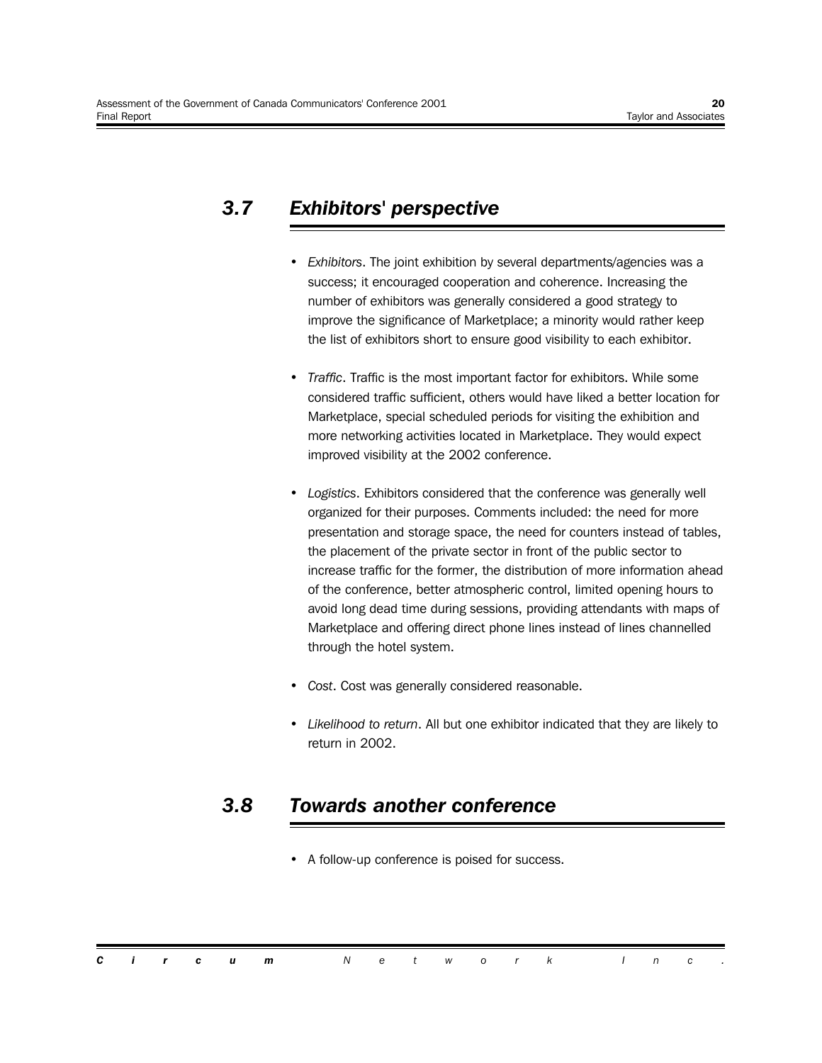## *3.7 Exhibitors' perspective*

- *Exhibitors*. The joint exhibition by several departments/agencies was a success; it encouraged cooperation and coherence. Increasing the number of exhibitors was generally considered a good strategy to improve the significance of Marketplace; a minority would rather keep the list of exhibitors short to ensure good visibility to each exhibitor.
- *Traffic*. Traffic is the most important factor for exhibitors. While some considered traffic sufficient, others would have liked a better location for Marketplace, special scheduled periods for visiting the exhibition and more networking activities located in Marketplace. They would expect improved visibility at the 2002 conference.
- *Logistics*. Exhibitors considered that the conference was generally well organized for their purposes. Comments included: the need for more presentation and storage space, the need for counters instead of tables, the placement of the private sector in front of the public sector to increase traffic for the former, the distribution of more information ahead of the conference, better atmospheric control, limited opening hours to avoid long dead time during sessions, providing attendants with maps of Marketplace and offering direct phone lines instead of lines channelled through the hotel system.
- *Cost*. Cost was generally considered reasonable.
- *Likelihood to return*. All but one exhibitor indicated that they are likely to return in 2002.

### *3.8 Towards another conference*

• A follow-up conference is poised for success.

|  |  | <b>Circum</b> Network Inc. |  |  |  |  |  |  |
|--|--|----------------------------|--|--|--|--|--|--|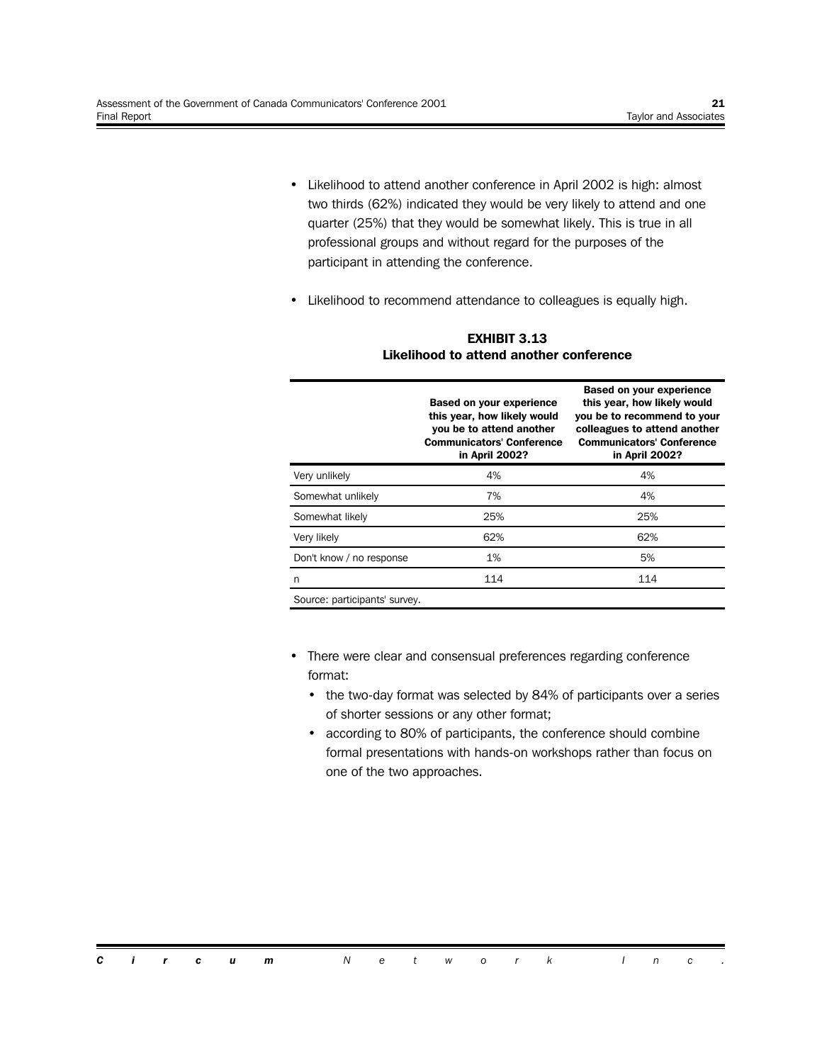- Likelihood to attend another conference in April 2002 is high: almost two thirds (62%) indicated they would be very likely to attend and one quarter (25%) that they would be somewhat likely. This is true in all professional groups and without regard for the purposes of the participant in attending the conference.
- Likelihood to recommend attendance to colleagues is equally high.

|                               | <b>Based on your experience</b><br>this year, how likely would<br>you be to attend another<br><b>Communicators' Conference</b><br>in April 2002? | <b>Based on your experience</b><br>this year, how likely would<br>you be to recommend to your<br>colleagues to attend another<br><b>Communicators' Conference</b><br>in April 2002? |
|-------------------------------|--------------------------------------------------------------------------------------------------------------------------------------------------|-------------------------------------------------------------------------------------------------------------------------------------------------------------------------------------|
| Very unlikely                 | 4%                                                                                                                                               | 4%                                                                                                                                                                                  |
| Somewhat unlikely             | 7%                                                                                                                                               | 4%                                                                                                                                                                                  |
| Somewhat likely               | 25%                                                                                                                                              | 25%                                                                                                                                                                                 |
| Very likely                   | 62%                                                                                                                                              | 62%                                                                                                                                                                                 |
| Don't know / no response      | 1%                                                                                                                                               | 5%                                                                                                                                                                                  |
| n                             | 114                                                                                                                                              | 114                                                                                                                                                                                 |
| Source: participants' survey. |                                                                                                                                                  |                                                                                                                                                                                     |

#### **EXHIBIT 3.13 Likelihood to attend another conference**

- There were clear and consensual preferences regarding conference format:
	- the two-day format was selected by 84% of participants over a series of shorter sessions or any other format;
	- according to 80% of participants, the conference should combine formal presentations with hands-on workshops rather than focus on one of the two approaches.

*Circum Network Inc .*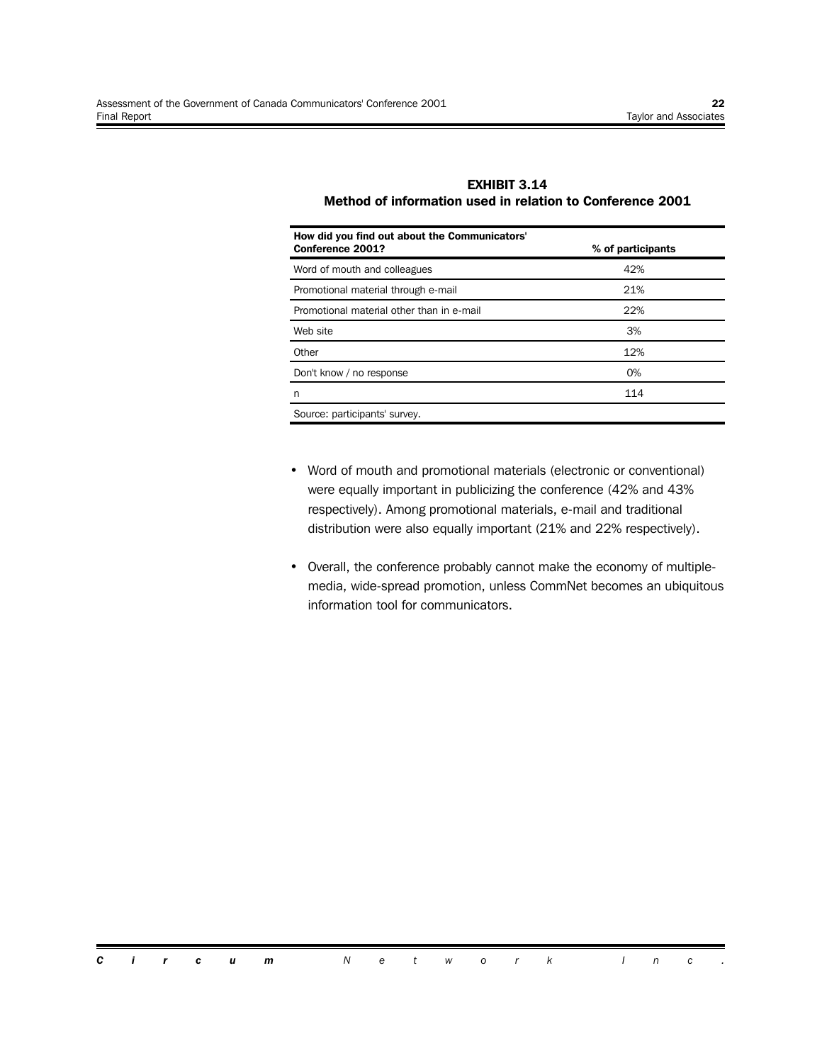#### **EXHIBIT 3.14 Method of information used in relation to Conference 2001**

| How did you find out about the Communicators'<br>Conference 2001? | % of participants |
|-------------------------------------------------------------------|-------------------|
| Word of mouth and colleagues                                      | 42%               |
| Promotional material through e-mail                               | 21%               |
| Promotional material other than in e-mail                         | 22%               |
| Web site                                                          | 3%                |
| Other                                                             | 12%               |
| Don't know / no response                                          | $O\%$             |
| n                                                                 | 114               |
| Source: participants' survey.                                     |                   |

- Word of mouth and promotional materials (electronic or conventional) were equally important in publicizing the conference (42% and 43% respectively). Among promotional materials, e-mail and traditional distribution were also equally important (21% and 22% respectively).
- Overall, the conference probably cannot make the economy of multiplemedia, wide-spread promotion, unless CommNet becomes an ubiquitous information tool for communicators.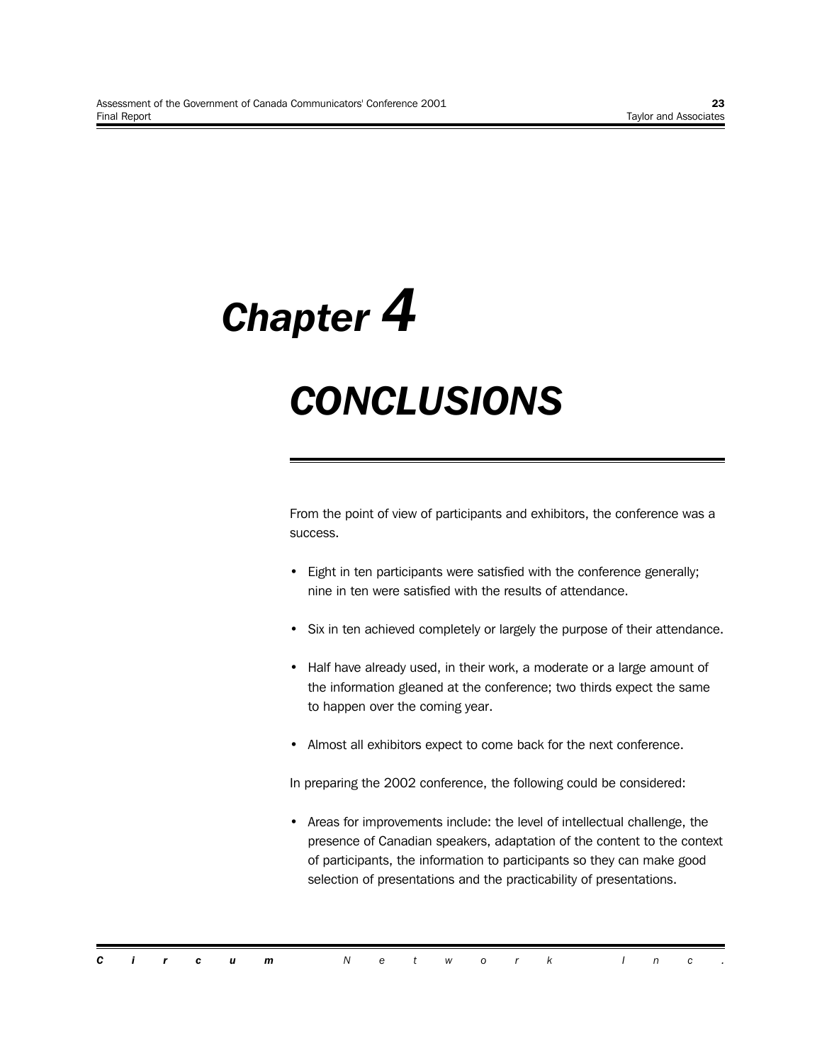*Chapter 4*

## *CONCLUSIONS*

From the point of view of participants and exhibitors, the conference was a success.

- Eight in ten participants were satisfied with the conference generally; nine in ten were satisfied with the results of attendance.
- Six in ten achieved completely or largely the purpose of their attendance.
- Half have already used, in their work, a moderate or a large amount of the information gleaned at the conference; two thirds expect the same to happen over the coming year.
- Almost all exhibitors expect to come back for the next conference.

In preparing the 2002 conference, the following could be considered:

• Areas for improvements include: the level of intellectual challenge, the presence of Canadian speakers, adaptation of the content to the context of participants, the information to participants so they can make good selection of presentations and the practicability of presentations.